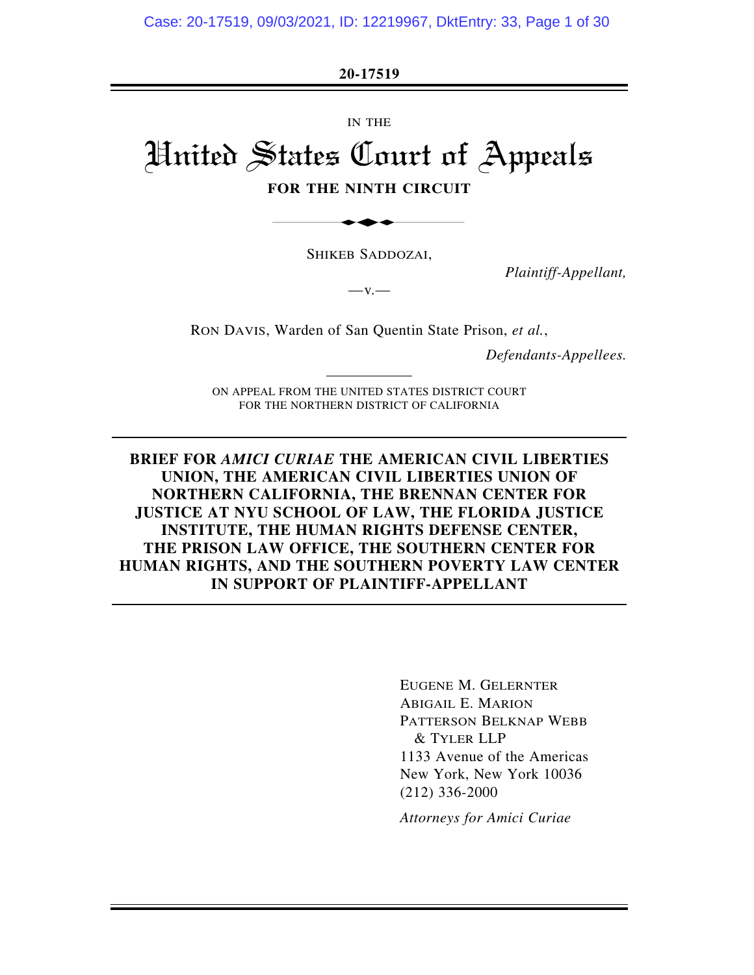**20-17519** 

IN THE

# United States Court of Appeals ESTAD

#### **FOR THE NINTH CIRCUIT**

SHIKEB SADDOZAI,

 $-v.$ 

*Plaintiff-Appellant,* 

RON DAVIS, Warden of San Quentin State Prison, *et al.*,

*Defendants-Appellees.* 

ON APPEAL FROM THE UNITED STATES DISTRICT COURT FOR THE NORTHERN DISTRICT OF CALIFORNIA

**BRIEF FOR** *AMICI CURIAE* **THE AMERICAN CIVIL LIBERTIES UNION, THE AMERICAN CIVIL LIBERTIES UNION OF NORTHERN CALIFORNIA, THE BRENNAN CENTER FOR JUSTICE AT NYU SCHOOL OF LAW, THE FLORIDA JUSTICE INSTITUTE, THE HUMAN RIGHTS DEFENSE CENTER, THE PRISON LAW OFFICE, THE SOUTHERN CENTER FOR HUMAN RIGHTS, AND THE SOUTHERN POVERTY LAW CENTER IN SUPPORT OF PLAINTIFF-APPELLANT**

> EUGENE M. GELERNTER ABIGAIL E. MARION PATTERSON BELKNAP WEBB & TYLER LLP 1133 Avenue of the Americas New York, New York 10036 (212) 336-2000

*Attorneys for Amici Curiae*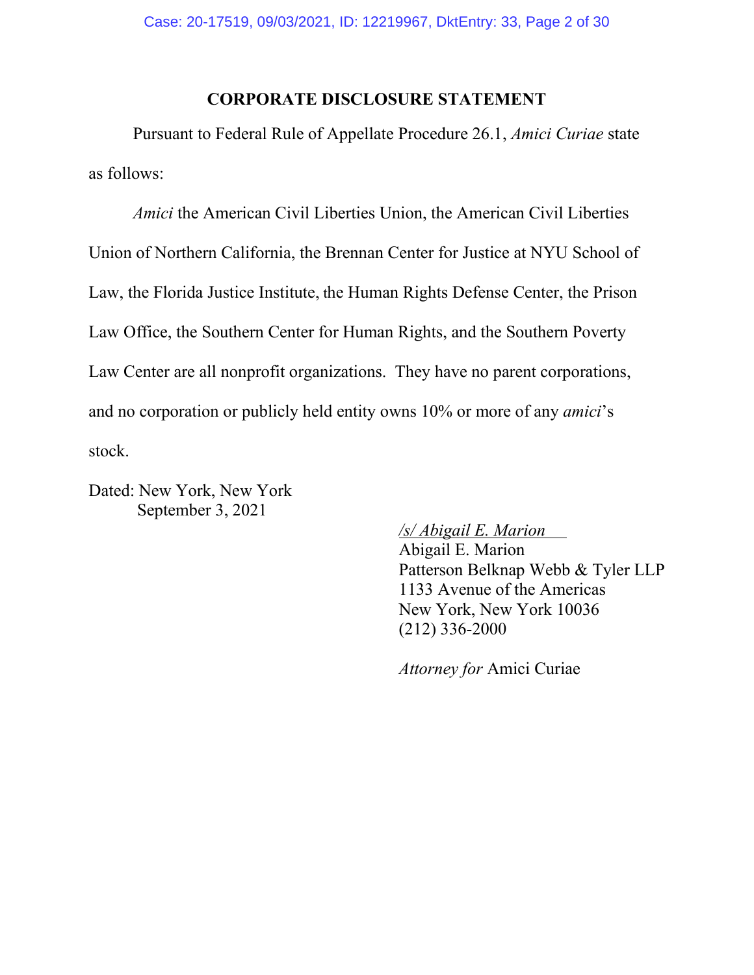#### **CORPORATE DISCLOSURE STATEMENT**

Pursuant to Federal Rule of Appellate Procedure 26.1, *Amici Curiae* state as follows:

*Amici* the American Civil Liberties Union, the American Civil Liberties Union of Northern California, the Brennan Center for Justice at NYU School of Law, the Florida Justice Institute, the Human Rights Defense Center, the Prison Law Office, the Southern Center for Human Rights, and the Southern Poverty Law Center are all nonprofit organizations. They have no parent corporations, and no corporation or publicly held entity owns 10% or more of any *amici*'s stock.

Dated: New York, New York September 3, 2021

*/s/ Abigail E. Marion* .

Abigail E. Marion Patterson Belknap Webb & Tyler LLP 1133 Avenue of the Americas New York, New York 10036 (212) 336-2000

*Attorney for* Amici Curiae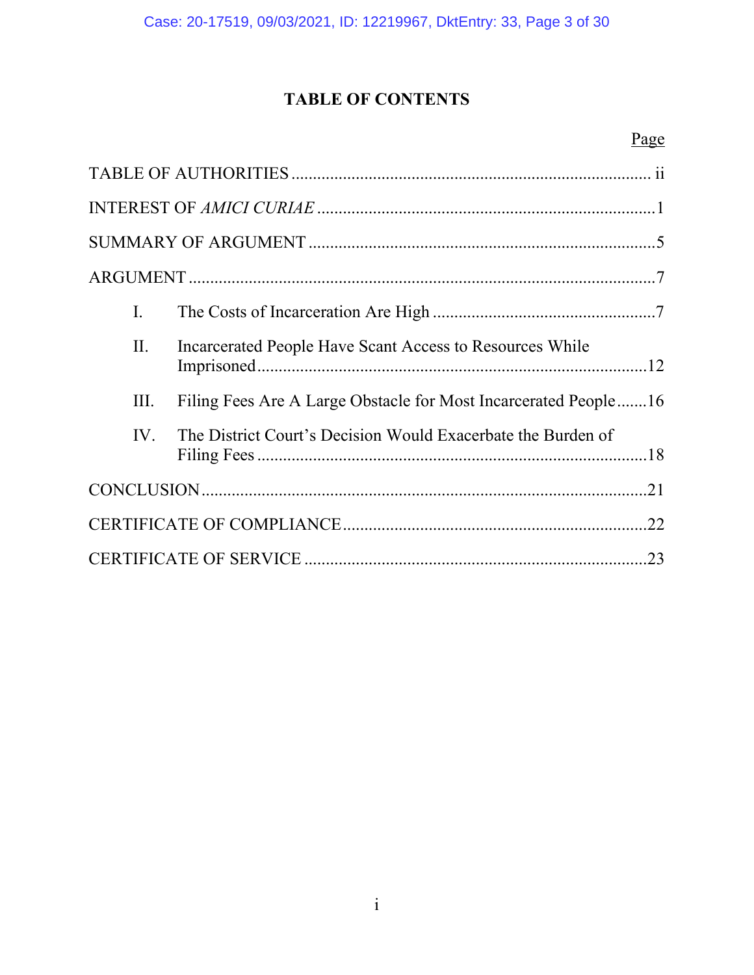# **TABLE OF CONTENTS**

# Page

| I.   |                                                                 |  |
|------|-----------------------------------------------------------------|--|
| II.  | Incarcerated People Have Scant Access to Resources While        |  |
| III. | Filing Fees Are A Large Obstacle for Most Incarcerated People16 |  |
| IV.  | The District Court's Decision Would Exacerbate the Burden of    |  |
|      |                                                                 |  |
|      |                                                                 |  |
| .23  |                                                                 |  |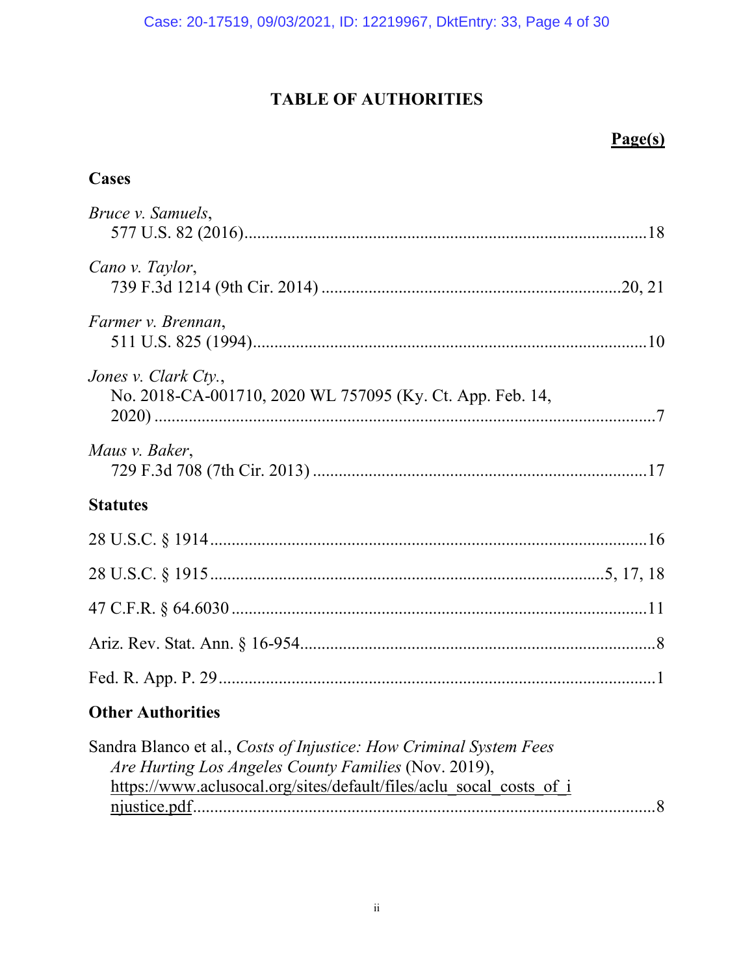# **TABLE OF AUTHORITIES**

# **Page(s)**

# <span id="page-3-0"></span>**Cases**

| Bruce v. Samuels,                                                                 |
|-----------------------------------------------------------------------------------|
| Cano v. Taylor,                                                                   |
| Farmer v. Brennan,                                                                |
| Jones v. Clark Cty.,<br>No. 2018-CA-001710, 2020 WL 757095 (Ky. Ct. App. Feb. 14, |
| Maus v. Baker,                                                                    |
| <b>Statutes</b>                                                                   |
|                                                                                   |
|                                                                                   |
|                                                                                   |
|                                                                                   |
|                                                                                   |
| <b>Other Authorities</b>                                                          |

| Sandra Blanco et al., Costs of Injustice: How Criminal System Fees  |  |
|---------------------------------------------------------------------|--|
| Are Hurting Los Angeles County Families (Nov. 2019),                |  |
| https://www.aclusocal.org/sites/default/files/aclu socal costs of i |  |
|                                                                     |  |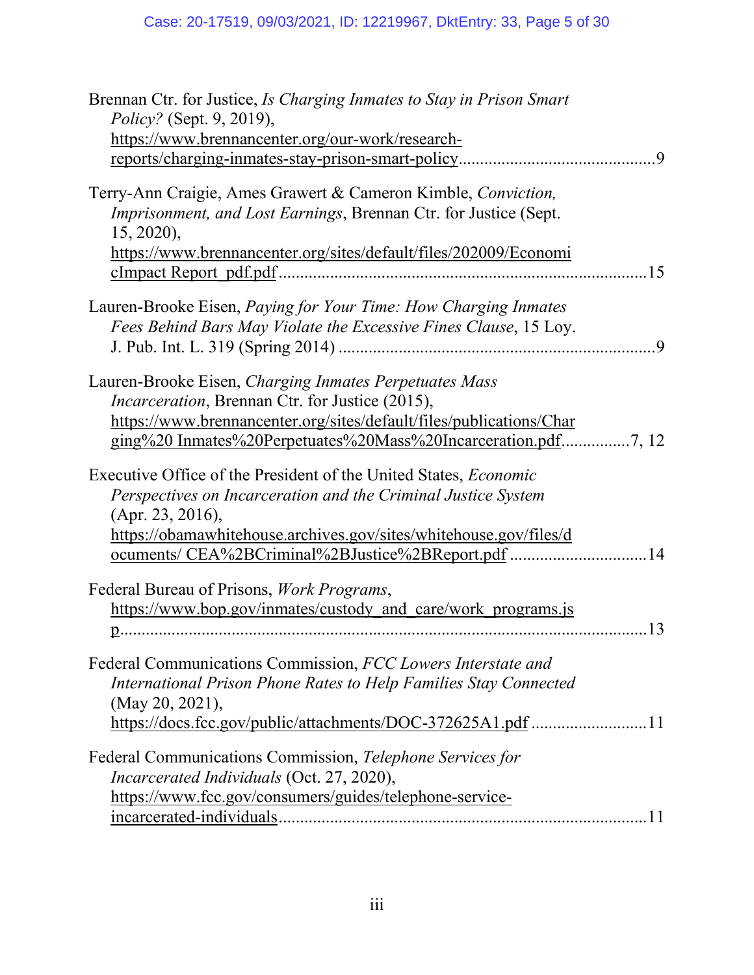| Brennan Ctr. for Justice, <i>Is Charging Inmates to Stay in Prison Smart</i><br><i>Policy?</i> (Sept. 9, 2019),<br>https://www.brennancenter.org/our-work/research-<br>$\overline{0}$                                                                                                       |
|---------------------------------------------------------------------------------------------------------------------------------------------------------------------------------------------------------------------------------------------------------------------------------------------|
| Terry-Ann Craigie, Ames Grawert & Cameron Kimble, Conviction,<br>Imprisonment, and Lost Earnings, Brennan Ctr. for Justice (Sept.<br>$15, 2020$ ,<br>https://www.brennancenter.org/sites/default/files/202009/Economi<br>.15<br>cImpact Report pdf.pdf.                                     |
| Lauren-Brooke Eisen, <i>Paying for Your Time: How Charging Inmates</i><br>Fees Behind Bars May Violate the Excessive Fines Clause, 15 Loy.<br>- 9                                                                                                                                           |
| Lauren-Brooke Eisen, Charging Inmates Perpetuates Mass<br><i>Incarceration</i> , Brennan Ctr. for Justice (2015),<br>https://www.brennancenter.org/sites/default/files/publications/Char                                                                                                    |
| Executive Office of the President of the United States, <i>Economic</i><br>Perspectives on Incarceration and the Criminal Justice System<br>(Apr. 23, 2016),<br>https://obamawhitehouse.archives.gov/sites/whitehouse.gov/files/d<br>ocuments/ CEA%2BCriminal%2BJustice%2BReport.pdf<br>.14 |
| Federal Bureau of Prisons, Work Programs,<br>https://www.bop.gov/inmates/custody and care/work programs.js<br>13                                                                                                                                                                            |
| Federal Communications Commission, FCC Lowers Interstate and<br>International Prison Phone Rates to Help Families Stay Connected<br>(May 20, 2021),<br>https://docs.fcc.gov/public/attachments/DOC-372625A1.pdf 11                                                                          |
| Federal Communications Commission, Telephone Services for<br>Incarcerated Individuals (Oct. 27, 2020),<br>https://www.fcc.gov/consumers/guides/telephone-service-                                                                                                                           |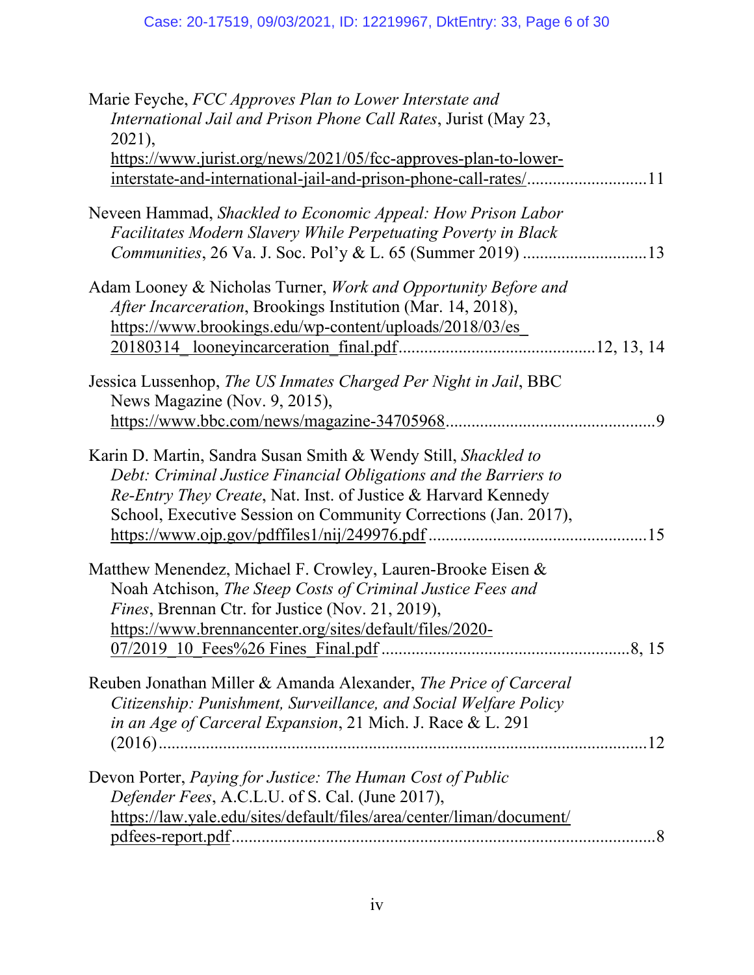| International Jail and Prison Phone Call Rates, Jurist (May 23,      |
|----------------------------------------------------------------------|
| $2021$ ,                                                             |
| https://www.jurist.org/news/2021/05/fcc-approves-plan-to-lower-      |
|                                                                      |
| Neveen Hammad, Shackled to Economic Appeal: How Prison Labor         |
| Facilitates Modern Slavery While Perpetuating Poverty in Black       |
|                                                                      |
| Adam Looney & Nicholas Turner, Work and Opportunity Before and       |
| After Incarceration, Brookings Institution (Mar. 14, 2018),          |
| https://www.brookings.edu/wp-content/uploads/2018/03/es              |
|                                                                      |
| Jessica Lussenhop, The US Inmates Charged Per Night in Jail, BBC     |
| News Magazine (Nov. 9, 2015),                                        |
|                                                                      |
| Karin D. Martin, Sandra Susan Smith & Wendy Still, Shackled to       |
| Debt: Criminal Justice Financial Obligations and the Barriers to     |
| Re-Entry They Create, Nat. Inst. of Justice & Harvard Kennedy        |
| School, Executive Session on Community Corrections (Jan. 2017),      |
|                                                                      |
|                                                                      |
| Matthew Menendez, Michael F. Crowley, Lauren-Brooke Eisen &          |
| Noah Atchison, The Steep Costs of Criminal Justice Fees and          |
| Fines, Brennan Ctr. for Justice (Nov. 21, 2019),                     |
| https://www.brennancenter.org/sites/default/files/2020-              |
|                                                                      |
| Reuben Jonathan Miller & Amanda Alexander, The Price of Carceral     |
| Citizenship: Punishment, Surveillance, and Social Welfare Policy     |
| in an Age of Carceral Expansion, 21 Mich. J. Race & L. 291           |
|                                                                      |
| Devon Porter, Paying for Justice: The Human Cost of Public           |
| Defender Fees, A.C.L.U. of S. Cal. (June 2017),                      |
| https://law.yale.edu/sites/default/files/area/center/liman/document/ |
|                                                                      |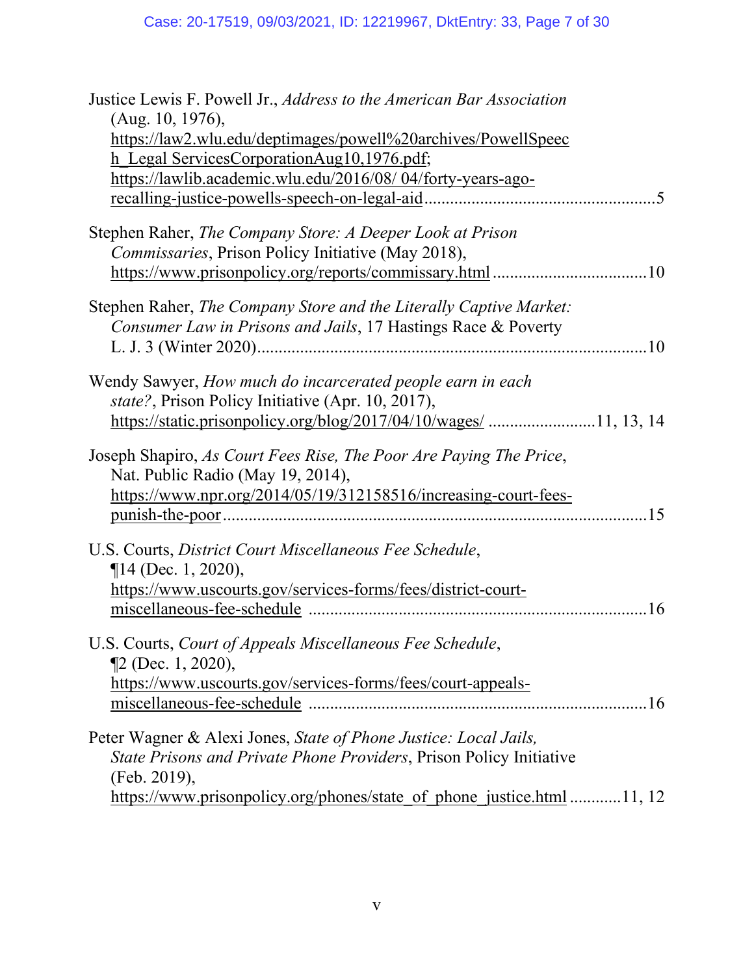| Justice Lewis F. Powell Jr., Address to the American Bar Association                                    |
|---------------------------------------------------------------------------------------------------------|
| (Aug. 10, 1976),                                                                                        |
| https://law2.wlu.edu/deptimages/powell%20archives/PowellSpeec                                           |
| h Legal ServicesCorporationAug10,1976.pdf;                                                              |
| https://lawlib.academic.wlu.edu/2016/08/04/forty-years-ago-                                             |
|                                                                                                         |
| Stephen Raher, The Company Store: A Deeper Look at Prison                                               |
| Commissaries, Prison Policy Initiative (May 2018),                                                      |
|                                                                                                         |
| Stephen Raher, The Company Store and the Literally Captive Market:                                      |
| Consumer Law in Prisons and Jails, 17 Hastings Race & Poverty                                           |
|                                                                                                         |
|                                                                                                         |
| Wendy Sawyer, How much do incarcerated people earn in each                                              |
| state?, Prison Policy Initiative (Apr. 10, 2017),                                                       |
| https://static.prisonpolicy.org/blog/2017/04/10/wages/ 11, 13, 14                                       |
| Joseph Shapiro, As Court Fees Rise, The Poor Are Paying The Price,<br>Nat. Public Radio (May 19, 2014), |
| https://www.npr.org/2014/05/19/312158516/increasing-court-fees-                                         |
| .15                                                                                                     |
| U.S. Courts, District Court Miscellaneous Fee Schedule,<br>$\P$ 14 (Dec. 1, 2020),                      |
| https://www.uscourts.gov/services-forms/fees/district-court-                                            |
| 16                                                                                                      |
| U.S. Courts, Court of Appeals Miscellaneous Fee Schedule,                                               |
| $\P2$ (Dec. 1, 2020),                                                                                   |
| https://www.uscourts.gov/services-forms/fees/court-appeals-                                             |
|                                                                                                         |
| Peter Wagner & Alexi Jones, State of Phone Justice: Local Jails,                                        |
| State Prisons and Private Phone Providers, Prison Policy Initiative                                     |
| (Feb. 2019),                                                                                            |
| https://www.prisonpolicy.org/phones/state_of_phone_justice.html 11, 12                                  |
|                                                                                                         |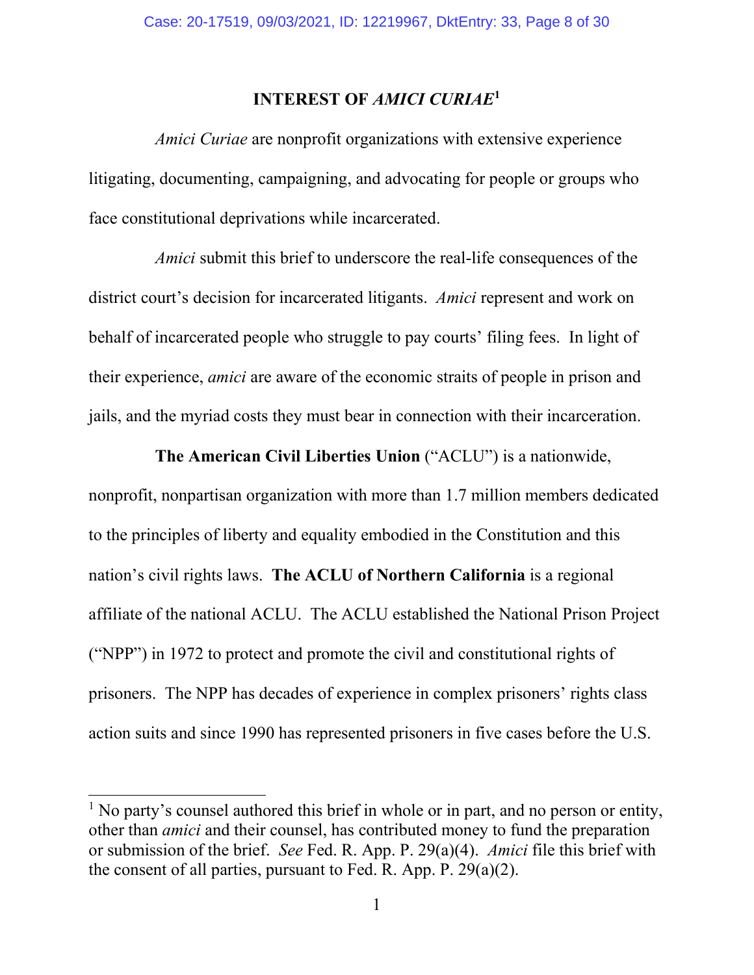## **INTEREST OF** *AMICI CURIAE***[1](#page-7-2)**

<span id="page-7-0"></span>*Amici Curiae* are nonprofit organizations with extensive experience litigating, documenting, campaigning, and advocating for people or groups who face constitutional deprivations while incarcerated.

*Amici* submit this brief to underscore the real-life consequences of the district court's decision for incarcerated litigants. *Amici* represent and work on behalf of incarcerated people who struggle to pay courts' filing fees. In light of their experience, *amici* are aware of the economic straits of people in prison and jails, and the myriad costs they must bear in connection with their incarceration.

**The American Civil Liberties Union** ("ACLU") is a nationwide, nonprofit, nonpartisan organization with more than 1.7 million members dedicated to the principles of liberty and equality embodied in the Constitution and this nation's civil rights laws. **The ACLU of Northern California** is a regional affiliate of the national ACLU. The ACLU established the National Prison Project ("NPP") in 1972 to protect and promote the civil and constitutional rights of prisoners. The NPP has decades of experience in complex prisoners' rights class action suits and since 1990 has represented prisoners in five cases before the U.S.

<span id="page-7-2"></span><span id="page-7-1"></span> $<sup>1</sup>$  No party's counsel authored this brief in whole or in part, and no person or entity,</sup> other than *amici* and their counsel, has contributed money to fund the preparation or submission of the brief. *See* Fed. R. App. P. 29(a)(4). *Amici* file this brief with the consent of all parties, pursuant to Fed. R. App. P. 29(a)(2).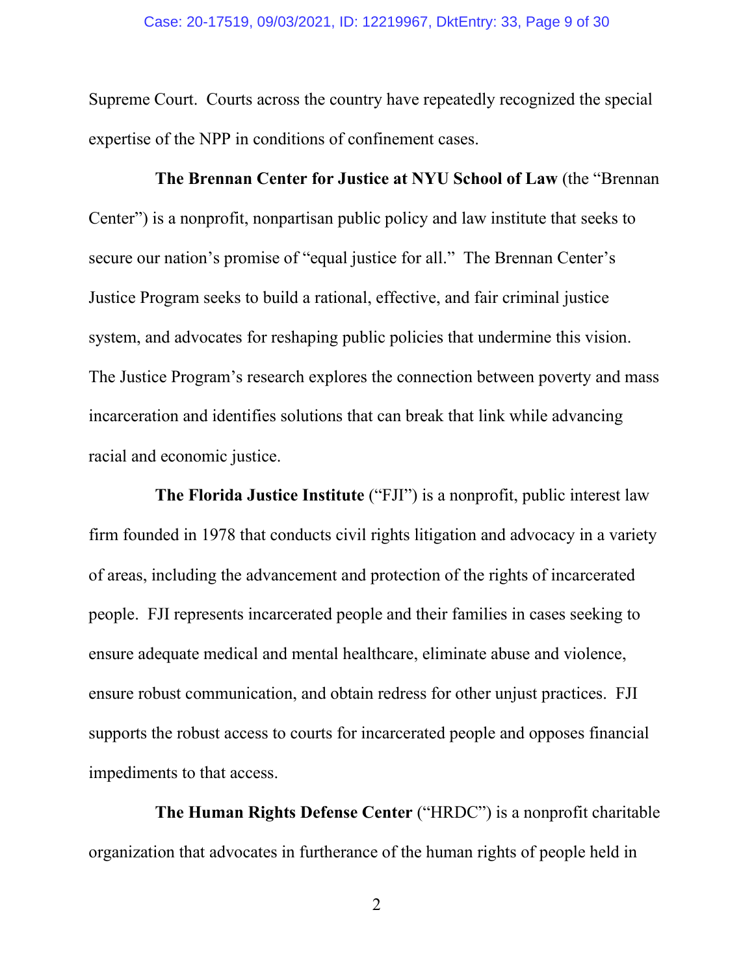Supreme Court. Courts across the country have repeatedly recognized the special expertise of the NPP in conditions of confinement cases.

**The Brennan Center for Justice at NYU School of Law** (the "Brennan Center") is a nonprofit, nonpartisan public policy and law institute that seeks to secure our nation's promise of "equal justice for all." The Brennan Center's Justice Program seeks to build a rational, effective, and fair criminal justice system, and advocates for reshaping public policies that undermine this vision. The Justice Program's research explores the connection between poverty and mass incarceration and identifies solutions that can break that link while advancing racial and economic justice.

**The Florida Justice Institute** ("FJI") is a nonprofit, public interest law firm founded in 1978 that conducts civil rights litigation and advocacy in a variety of areas, including the advancement and protection of the rights of incarcerated people. FJI represents incarcerated people and their families in cases seeking to ensure adequate medical and mental healthcare, eliminate abuse and violence, ensure robust communication, and obtain redress for other unjust practices. FJI supports the robust access to courts for incarcerated people and opposes financial impediments to that access.

**The Human Rights Defense Center** ("HRDC") is a nonprofit charitable organization that advocates in furtherance of the human rights of people held in

2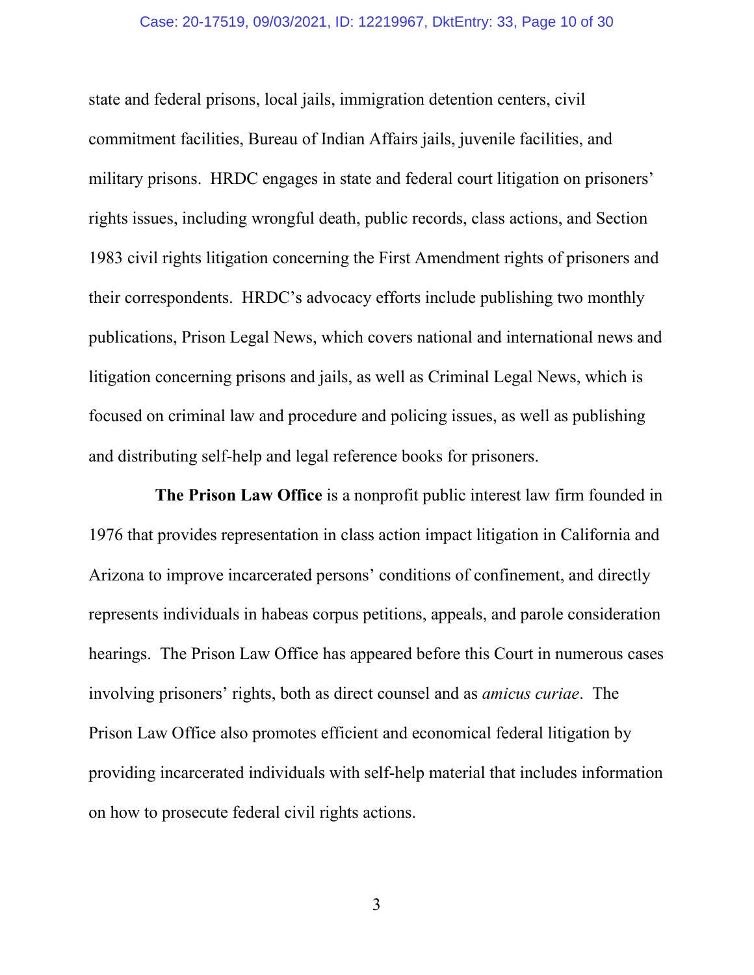#### Case: 20-17519, 09/03/2021, ID: 12219967, DktEntry: 33, Page 10 of 30

state and federal prisons, local jails, immigration detention centers, civil commitment facilities, Bureau of Indian Affairs jails, juvenile facilities, and military prisons. HRDC engages in state and federal court litigation on prisoners' rights issues, including wrongful death, public records, class actions, and Section 1983 civil rights litigation concerning the First Amendment rights of prisoners and their correspondents. HRDC's advocacy efforts include publishing two monthly publications, Prison Legal News, which covers national and international news and litigation concerning prisons and jails, as well as Criminal Legal News, which is focused on criminal law and procedure and policing issues, as well as publishing and distributing self-help and legal reference books for prisoners.

**The Prison Law Office** is a nonprofit public interest law firm founded in 1976 that provides representation in class action impact litigation in California and Arizona to improve incarcerated persons' conditions of confinement, and directly represents individuals in habeas corpus petitions, appeals, and parole consideration hearings. The Prison Law Office has appeared before this Court in numerous cases involving prisoners' rights, both as direct counsel and as *amicus curiae*. The Prison Law Office also promotes efficient and economical federal litigation by providing incarcerated individuals with self-help material that includes information on how to prosecute federal civil rights actions.

3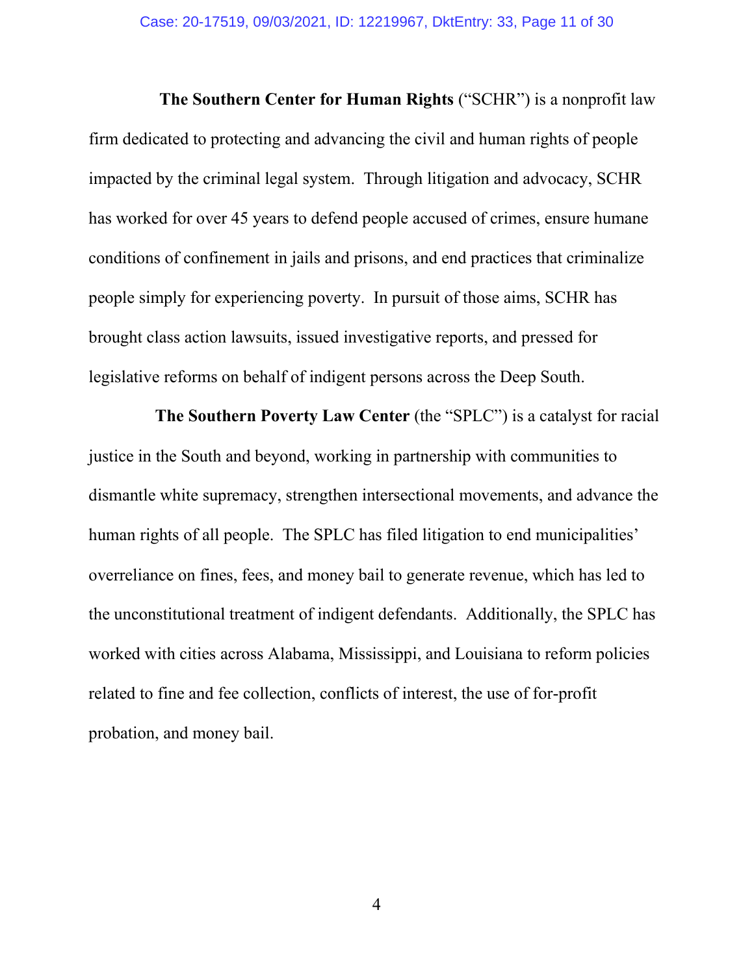**The Southern Center for Human Rights** ("SCHR") is a nonprofit law firm dedicated to protecting and advancing the civil and human rights of people impacted by the criminal legal system. Through litigation and advocacy, SCHR has worked for over 45 years to defend people accused of crimes, ensure humane conditions of confinement in jails and prisons, and end practices that criminalize people simply for experiencing poverty. In pursuit of those aims, SCHR has brought class action lawsuits, issued investigative reports, and pressed for legislative reforms on behalf of indigent persons across the Deep South.

**The Southern Poverty Law Center** (the "SPLC") is a catalyst for racial justice in the South and beyond, working in partnership with communities to dismantle white supremacy, strengthen intersectional movements, and advance the human rights of all people. The SPLC has filed litigation to end municipalities' overreliance on fines, fees, and money bail to generate revenue, which has led to the unconstitutional treatment of indigent defendants. Additionally, the SPLC has worked with cities across Alabama, Mississippi, and Louisiana to reform policies related to fine and fee collection, conflicts of interest, the use of for-profit probation, and money bail.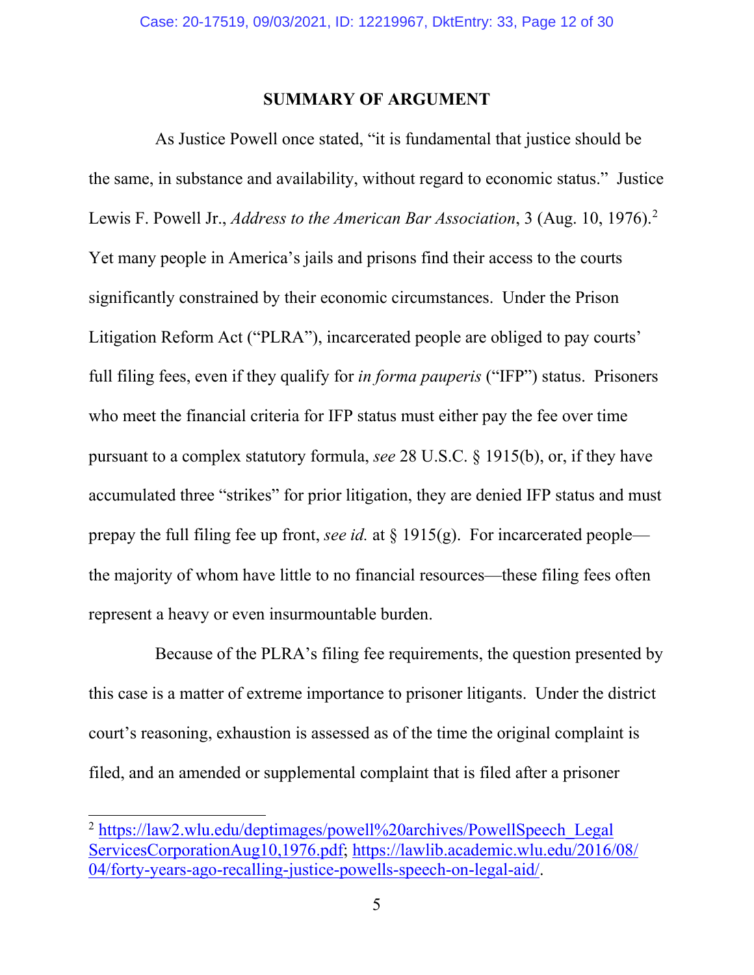#### <span id="page-11-1"></span>**SUMMARY OF ARGUMENT**

<span id="page-11-0"></span>As Justice Powell once stated, "it is fundamental that justice should be the same, in substance and availability, without regard to economic status." Justice Lewis F. Powell Jr., *Address to the American Bar Association*, 3 (Aug. 10, 1976).<sup>[2](#page-11-2)</sup> Yet many people in America's jails and prisons find their access to the courts significantly constrained by their economic circumstances. Under the Prison Litigation Reform Act ("PLRA"), incarcerated people are obliged to pay courts' full filing fees, even if they qualify for *in forma pauperis* ("IFP") status. Prisoners who meet the financial criteria for IFP status must either pay the fee over time pursuant to a complex statutory formula, *see* 28 U.S.C. § 1915(b), or, if they have accumulated three "strikes" for prior litigation, they are denied IFP status and must prepay the full filing fee up front, *see id.* at § 1915(g). For incarcerated people the majority of whom have little to no financial resources—these filing fees often represent a heavy or even insurmountable burden.

Because of the PLRA's filing fee requirements, the question presented by this case is a matter of extreme importance to prisoner litigants. Under the district court's reasoning, exhaustion is assessed as of the time the original complaint is filed, and an amended or supplemental complaint that is filed after a prisoner

<span id="page-11-2"></span><sup>&</sup>lt;sup>2</sup> [https://law2.wlu.edu/deptimages/powell%20archives/PowellSpeech\\_Legal](https://law2.wlu.edu/deptimages/powell%20archives/PowellSpeech_LegalServicesCorporationAug10,1976.pdf) [ServicesCorporationAug10,1976.pdf;](https://law2.wlu.edu/deptimages/powell%20archives/PowellSpeech_LegalServicesCorporationAug10,1976.pdf) [https://lawlib.academic.wlu.edu/2016/08/](https://lawlib.academic.wlu.edu/2016/08/04/forty-years-ago-recalling-justice-powells-speech-on-legal-aid/) [04/forty-years-ago-recalling-justice-powells-speech-on-legal-aid/.](https://lawlib.academic.wlu.edu/2016/08/04/forty-years-ago-recalling-justice-powells-speech-on-legal-aid/)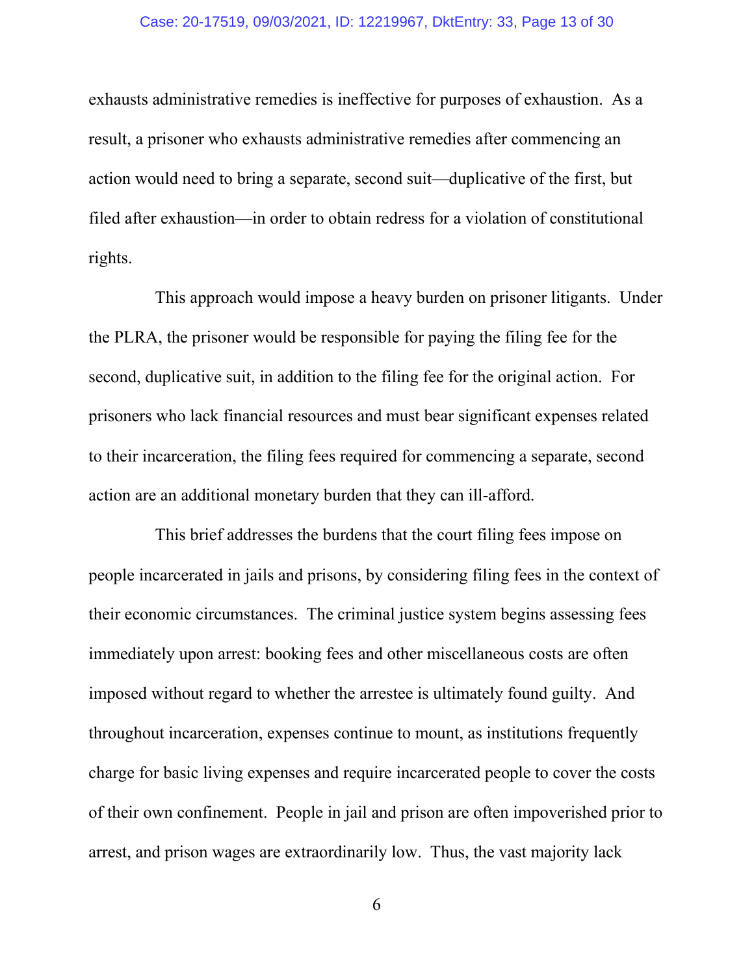#### Case: 20-17519, 09/03/2021, ID: 12219967, DktEntry: 33, Page 13 of 30

exhausts administrative remedies is ineffective for purposes of exhaustion. As a result, a prisoner who exhausts administrative remedies after commencing an action would need to bring a separate, second suit—duplicative of the first, but filed after exhaustion—in order to obtain redress for a violation of constitutional rights.

This approach would impose a heavy burden on prisoner litigants. Under the PLRA, the prisoner would be responsible for paying the filing fee for the second, duplicative suit, in addition to the filing fee for the original action. For prisoners who lack financial resources and must bear significant expenses related to their incarceration, the filing fees required for commencing a separate, second action are an additional monetary burden that they can ill-afford.

This brief addresses the burdens that the court filing fees impose on people incarcerated in jails and prisons, by considering filing fees in the context of their economic circumstances. The criminal justice system begins assessing fees immediately upon arrest: booking fees and other miscellaneous costs are often imposed without regard to whether the arrestee is ultimately found guilty. And throughout incarceration, expenses continue to mount, as institutions frequently charge for basic living expenses and require incarcerated people to cover the costs of their own confinement. People in jail and prison are often impoverished prior to arrest, and prison wages are extraordinarily low. Thus, the vast majority lack

6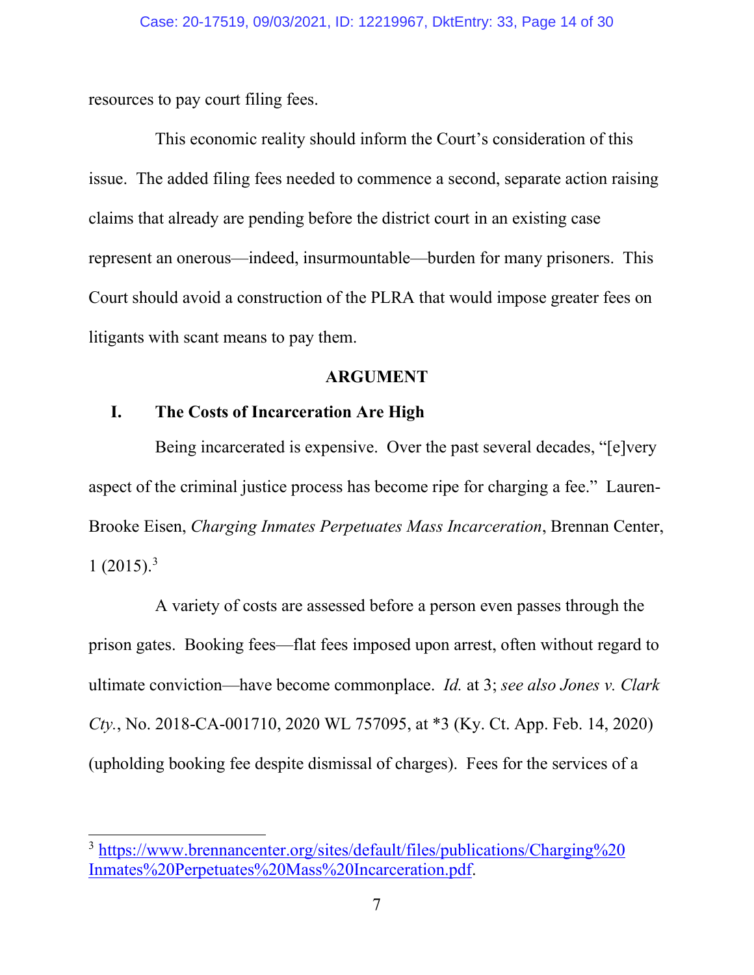resources to pay court filing fees.

This economic reality should inform the Court's consideration of this issue. The added filing fees needed to commence a second, separate action raising claims that already are pending before the district court in an existing case represent an onerous—indeed, insurmountable—burden for many prisoners. This Court should avoid a construction of the PLRA that would impose greater fees on litigants with scant means to pay them.

#### <span id="page-13-3"></span><span id="page-13-2"></span>**ARGUMENT**

## <span id="page-13-1"></span><span id="page-13-0"></span>**I. The Costs of Incarceration Are High**

Being incarcerated is expensive. Over the past several decades, "[e]very aspect of the criminal justice process has become ripe for charging a fee." Lauren-Brooke Eisen, *Charging Inmates Perpetuates Mass Incarceration*, Brennan Center,  $1 (2015)^3$  $1 (2015)^3$ 

A variety of costs are assessed before a person even passes through the prison gates. Booking fees—flat fees imposed upon arrest, often without regard to ultimate conviction—have become commonplace. *Id.* at 3; *see also Jones v. Clark Cty.*, No. 2018-CA-001710, 2020 WL 757095, at \*3 (Ky. Ct. App. Feb. 14, 2020) (upholding booking fee despite dismissal of charges). Fees for the services of a

<span id="page-13-4"></span><sup>3</sup> [https://www.brennancenter.org/sites/default/files/publications/Charging%20](https://www.brennancenter.org/sites/default/files/publications/Charging%20Inmates%20Perpetuates%20Mass%20Incarceration.pdf) [Inmates%20Perpetuates%20Mass%20Incarceration.pdf.](https://www.brennancenter.org/sites/default/files/publications/Charging%20Inmates%20Perpetuates%20Mass%20Incarceration.pdf)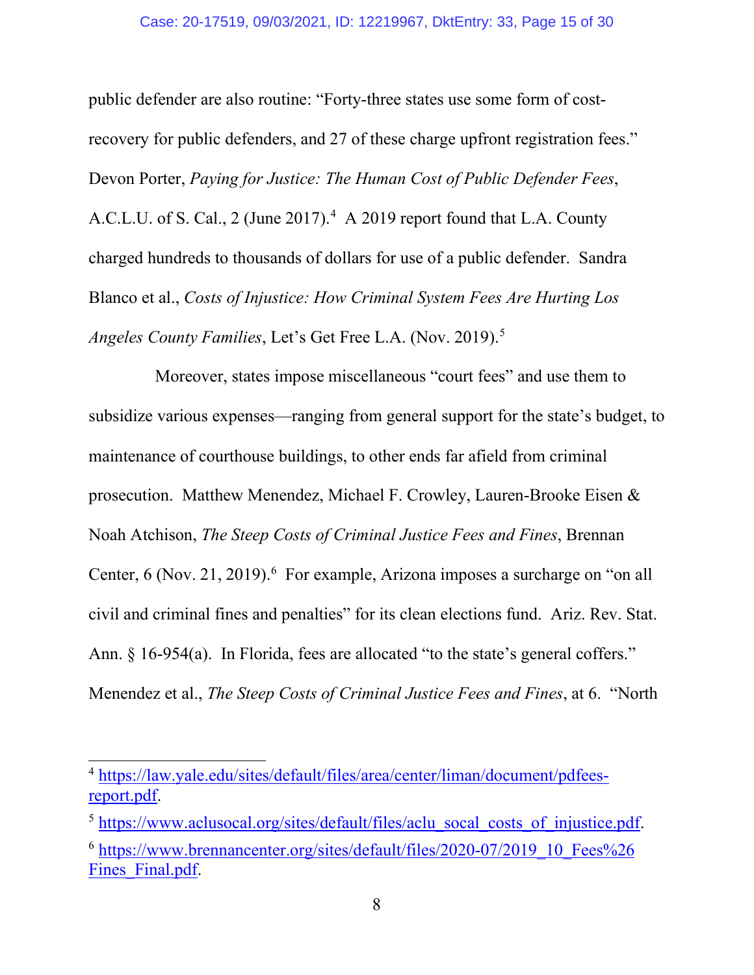<span id="page-14-2"></span>public defender are also routine: "Forty-three states use some form of costrecovery for public defenders, and 27 of these charge upfront registration fees." Devon Porter, *Paying for Justice: The Human Cost of Public Defender Fees*, A.C.L.U. of S. Cal., 2 (June 2017). [4](#page-14-3) A 2019 report found that L.A. County charged hundreds to thousands of dollars for use of a public defender. Sandra Blanco et al., *Costs of Injustice: How Criminal System Fees Are Hurting Los Angeles County Families*, Let's Get Free L.A. (Nov. 2019).[5](#page-14-4)

<span id="page-14-1"></span>Moreover, states impose miscellaneous "court fees" and use them to subsidize various expenses—ranging from general support for the state's budget, to maintenance of courthouse buildings, to other ends far afield from criminal prosecution. Matthew Menendez, Michael F. Crowley, Lauren-Brooke Eisen & Noah Atchison, *The Steep Costs of Criminal Justice Fees and Fines*, Brennan Center,  $6$  (Nov. 21, 2019).  $6$  For example, Arizona imposes a surcharge on "on all civil and criminal fines and penalties" for its clean elections fund. Ariz. Rev. Stat. Ann. § 16-954(a). In Florida, fees are allocated "to the state's general coffers." Menendez et al., *The Steep Costs of Criminal Justice Fees and Fines*, at 6. "North

<span id="page-14-3"></span><span id="page-14-0"></span><sup>4</sup> [https://law.yale.edu/sites/default/files/area/center/liman/document/pdfees](https://law.yale.edu/sites/default/files/area/center/liman/document/pdfees-report.pdf)[report.pdf.](https://law.yale.edu/sites/default/files/area/center/liman/document/pdfees-report.pdf)

<span id="page-14-4"></span><sup>&</sup>lt;sup>5</sup> [https://www.aclusocal.org/sites/default/files/aclu\\_socal\\_costs\\_of\\_injustice.pdf.](https://www.aclusocal.org/sites/default/files/aclu_socal_costs_of_injustice.pdf)

<span id="page-14-5"></span><sup>6</sup> [https://www.brennancenter.org/sites/default/files/2020-07/2019\\_10\\_Fees%26](https://www.brennancenter.org/sites/default/files/2020-07/2019_10_Fees%26Fines_Final.pdf) Fines Final.pdf.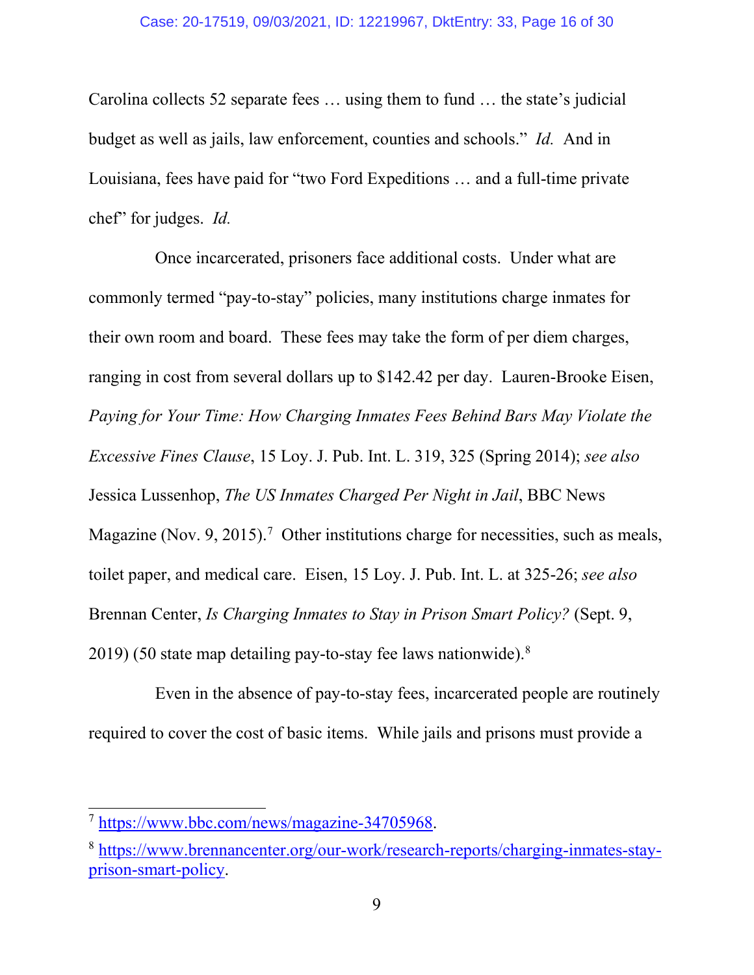Carolina collects 52 separate fees … using them to fund … the state's judicial budget as well as jails, law enforcement, counties and schools." *Id.* And in Louisiana, fees have paid for "two Ford Expeditions … and a full-time private chef" for judges. *Id.*

Once incarcerated, prisoners face additional costs. Under what are commonly termed "pay-to-stay" policies, many institutions charge inmates for their own room and board. These fees may take the form of per diem charges, ranging in cost from several dollars up to \$142.42 per day. Lauren-Brooke Eisen, *Paying for Your Time: How Charging Inmates Fees Behind Bars May Violate the Excessive Fines Clause*, 15 Loy. J. Pub. Int. L. 319, 325 (Spring 2014); *see also*  Jessica Lussenhop, *The US Inmates Charged Per Night in Jail*, BBC News Magazine (Nov. 9, 2015).<sup>[7](#page-15-0)</sup> Other institutions charge for necessities, such as meals, toilet paper, and medical care. Eisen, 15 Loy. J. Pub. Int. L. at 325-26; *see also*  Brennan Center, *Is Charging Inmates to Stay in Prison Smart Policy?* (Sept. 9, 2019) (50 state map detailing pay-to-stay fee laws nationwide).[8](#page-15-1)

Even in the absence of pay-to-stay fees, incarcerated people are routinely required to cover the cost of basic items. While jails and prisons must provide a

<span id="page-15-0"></span><sup>7</sup> [https://www.bbc.com/news/magazine-34705968.](https://www.bbc.com/news/magazine-34705968)

<span id="page-15-1"></span><sup>8</sup> [https://www.brennancenter.org/our-work/research-reports/charging-inmates-stay](https://www.brennancenter.org/our-work/research-reports/charging-inmates-stay-prison-smart-policy)[prison-smart-policy.](https://www.brennancenter.org/our-work/research-reports/charging-inmates-stay-prison-smart-policy)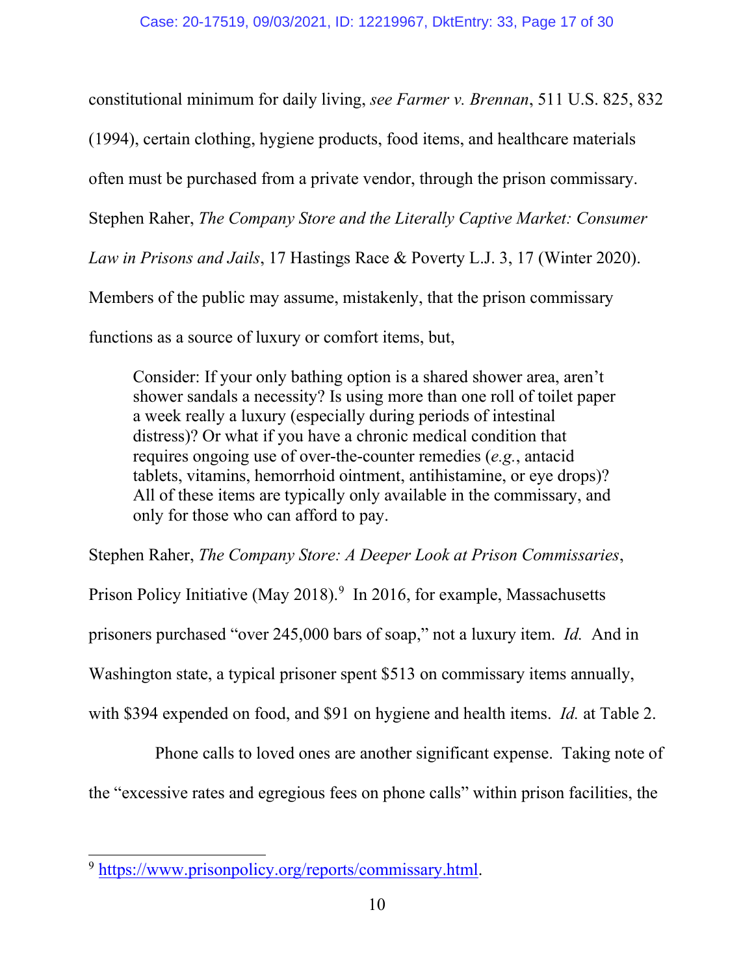constitutional minimum for daily living, *see Farmer v. Brennan*, 511 U.S. 825, 832

(1994), certain clothing, hygiene products, food items, and healthcare materials

often must be purchased from a private vendor, through the prison commissary.

Stephen Raher, *The Company Store and the Literally Captive Market: Consumer* 

*Law in Prisons and Jails*, 17 Hastings Race & Poverty L.J. 3, 17 (Winter 2020).

Members of the public may assume, mistakenly, that the prison commissary

functions as a source of luxury or comfort items, but,

Consider: If your only bathing option is a shared shower area, aren't shower sandals a necessity? Is using more than one roll of toilet paper a week really a luxury (especially during periods of intestinal distress)? Or what if you have a chronic medical condition that requires ongoing use of over-the-counter remedies (*e.g.*, antacid tablets, vitamins, hemorrhoid ointment, antihistamine, or eye drops)? All of these items are typically only available in the commissary, and only for those who can afford to pay.

Stephen Raher, *The Company Store: A Deeper Look at Prison Commissaries*,

Prison Policy Initiative (May 2018).<sup>[9](#page-16-0)</sup> In 2016, for example, Massachusetts

prisoners purchased "over 245,000 bars of soap," not a luxury item. *Id.* And in

Washington state, a typical prisoner spent \$513 on commissary items annually,

with \$394 expended on food, and \$91 on hygiene and health items. *Id.* at Table 2.

Phone calls to loved ones are another significant expense. Taking note of the "excessive rates and egregious fees on phone calls" within prison facilities, the

<span id="page-16-0"></span><sup>9</sup> [https://www.prisonpolicy.org/reports/commissary.html.](https://www.prisonpolicy.org/reports/commissary.html)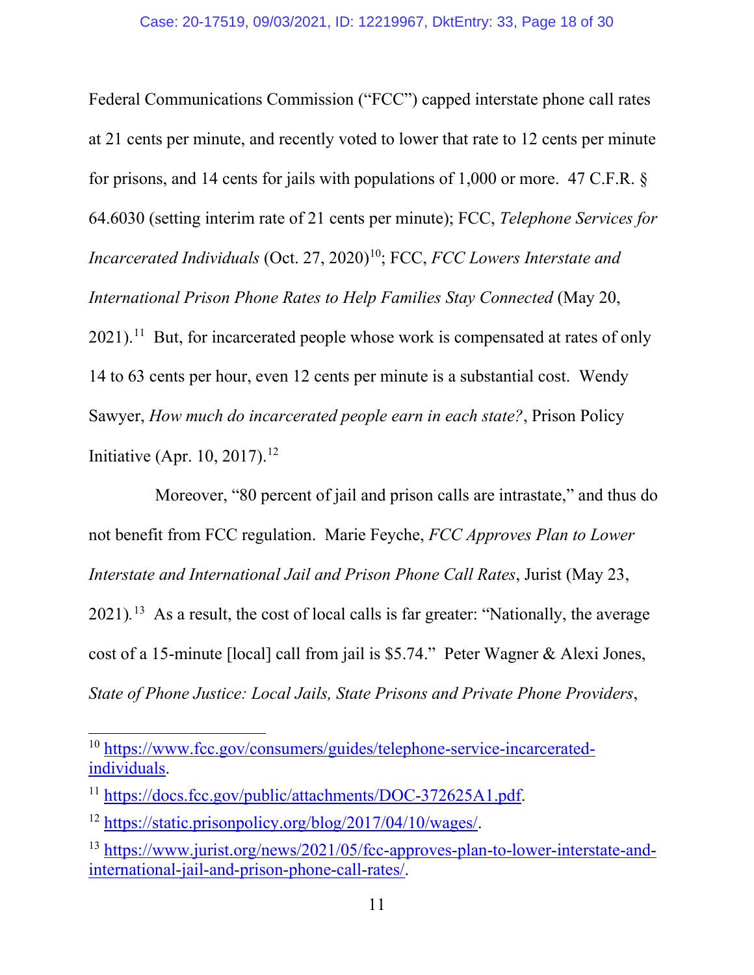Federal Communications Commission ("FCC") capped interstate phone call rates at 21 cents per minute, and recently voted to lower that rate to 12 cents per minute for prisons, and 14 cents for jails with populations of 1,000 or more. 47 C.F.R. § 64.6030 (setting interim rate of 21 cents per minute); FCC, *Telephone Services for Incarcerated Individuals* (Oct. 27, 2020)<sup>[10](#page-17-0)</sup>; FCC, *FCC Lowers Interstate and International Prison Phone Rates to Help Families Stay Connected* (May 20,  $2021$ ).<sup>11</sup> But, for incarcerated people whose work is compensated at rates of only 14 to 63 cents per hour, even 12 cents per minute is a substantial cost. Wendy Sawyer, *How much do incarcerated people earn in each state?*, Prison Policy Initiative (Apr. 10, 2017).<sup>[12](#page-17-2)</sup>

Moreover, "80 percent of jail and prison calls are intrastate," and thus do not benefit from FCC regulation. Marie Feyche, *FCC Approves Plan to Lower Interstate and International Jail and Prison Phone Call Rates*, Jurist (May 23, 2021)*.* [13](#page-17-3)As a result, the cost of local calls is far greater: "Nationally, the average cost of a 15-minute [local] call from jail is \$5.74." Peter Wagner & Alexi Jones, *State of Phone Justice: Local Jails, State Prisons and Private Phone Providers*,

<span id="page-17-0"></span><sup>10</sup> [https://www.fcc.gov/consumers/guides/telephone-service-incarcerated](https://www.fcc.gov/consumers/guides/telephone-service-incarcerated-individuals)[individuals.](https://www.fcc.gov/consumers/guides/telephone-service-incarcerated-individuals)

<span id="page-17-1"></span><sup>&</sup>lt;sup>11</sup> [https://docs.fcc.gov/public/attachments/DOC-372625A1.pdf.](https://docs.fcc.gov/public/attachments/DOC-372625A1.pdf)

<span id="page-17-2"></span><sup>12</sup> [https://static.prisonpolicy.org/blog/2017/04/10/wages/.](https://static.prisonpolicy.org/blog/2017/04/10/wages/)

<span id="page-17-3"></span><sup>13</sup> [https://www.jurist.org/news/2021/05/fcc-approves-plan-to-lower-interstate-and](https://www.jurist.org/news/2021/05/fcc-approves-plan-to-lower-interstate-and-international-jail-and-prison-phone-call-rates/)[international-jail-and-prison-phone-call-rates/.](https://www.jurist.org/news/2021/05/fcc-approves-plan-to-lower-interstate-and-international-jail-and-prison-phone-call-rates/)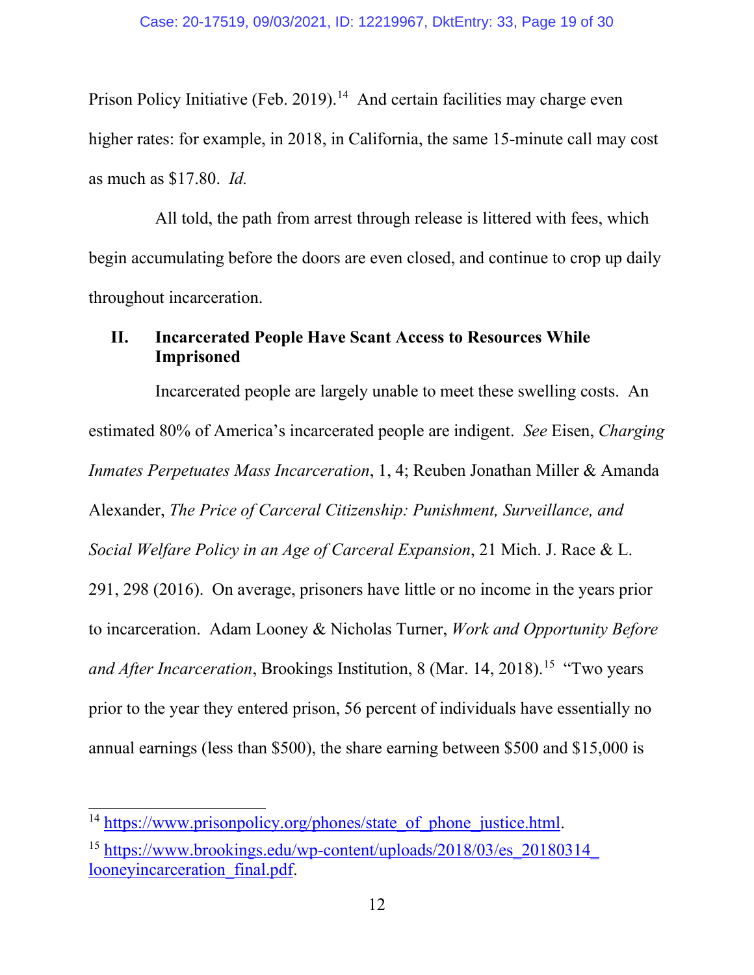Prison Policy Initiative (Feb. 2019).<sup>[14](#page-18-2)</sup> And certain facilities may charge even higher rates: for example, in 2018, in California, the same 15-minute call may cost as much as \$17.80. *Id.* 

All told, the path from arrest through release is littered with fees, which begin accumulating before the doors are even closed, and continue to crop up daily throughout incarceration.

## <span id="page-18-0"></span>**II. Incarcerated People Have Scant Access to Resources While Imprisoned**

Incarcerated people are largely unable to meet these swelling costs. An estimated 80% of America's incarcerated people are indigent. *See* Eisen, *Charging Inmates Perpetuates Mass Incarceration*, 1, 4; Reuben Jonathan Miller & Amanda Alexander, *The Price of Carceral Citizenship: Punishment, Surveillance, and Social Welfare Policy in an Age of Carceral Expansion*, 21 Mich. J. Race & L. 291, 298 (2016). On average, prisoners have little or no income in the years prior to incarceration. Adam Looney & Nicholas Turner, *Work and Opportunity Before and After Incarceration*, Brookings Institution, 8 (Mar. 14, 2018). [15](#page-18-3) "Two years prior to the year they entered prison, 56 percent of individuals have essentially no annual earnings (less than \$500), the share earning between \$500 and \$15,000 is

<span id="page-18-2"></span><span id="page-18-1"></span><sup>&</sup>lt;sup>14</sup> [https://www.prisonpolicy.org/phones/state\\_of\\_phone\\_justice.html.](https://www.prisonpolicy.org/phones/state_of_phone_justice.html)

<span id="page-18-3"></span><sup>&</sup>lt;sup>15</sup> [https://www.brookings.edu/wp-content/uploads/2018/03/es\\_20180314\\_](https://www.brookings.edu/wp-content/uploads/2018/03/es_20180314_looneyincarceration_final.pdf) looneyincarceration final.pdf.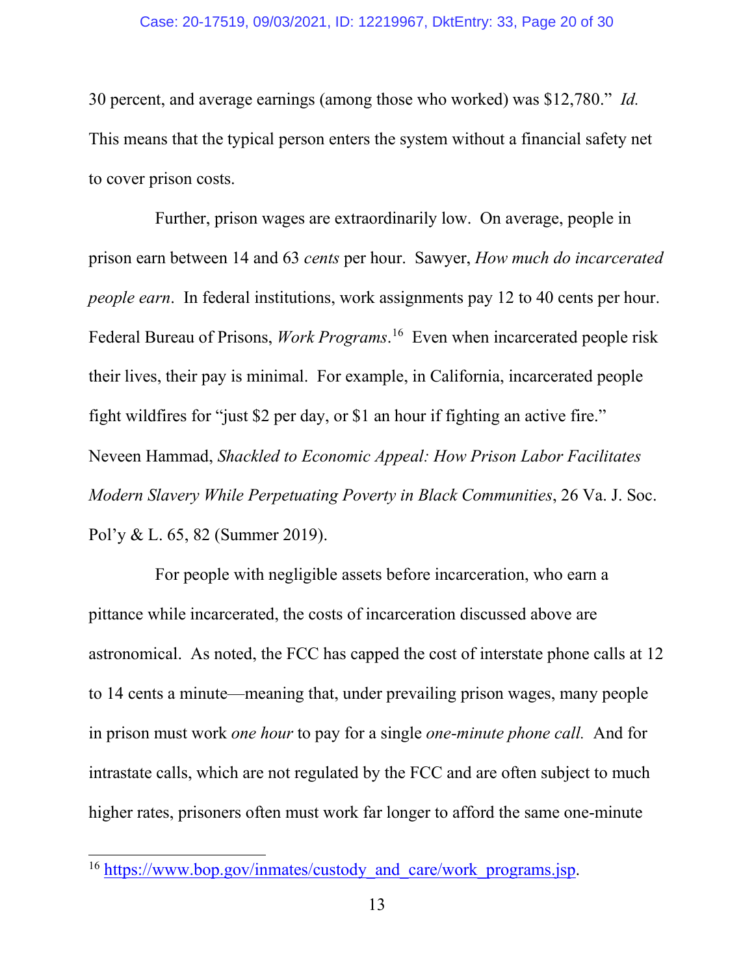<span id="page-19-0"></span>30 percent, and average earnings (among those who worked) was \$12,780." *Id.* This means that the typical person enters the system without a financial safety net to cover prison costs.

Further, prison wages are extraordinarily low. On average, people in prison earn between 14 and 63 *cents* per hour. Sawyer, *How much do incarcerated people earn*. In federal institutions, work assignments pay 12 to 40 cents per hour. Federal Bureau of Prisons, *Work Programs*. [16](#page-19-1) Even when incarcerated people risk their lives, their pay is minimal. For example, in California, incarcerated people fight wildfires for "just \$2 per day, or \$1 an hour if fighting an active fire." Neveen Hammad, *Shackled to Economic Appeal: How Prison Labor Facilitates Modern Slavery While Perpetuating Poverty in Black Communities*, 26 Va. J. Soc. Pol'y & L. 65, 82 (Summer 2019).

For people with negligible assets before incarceration, who earn a pittance while incarcerated, the costs of incarceration discussed above are astronomical. As noted, the FCC has capped the cost of interstate phone calls at 12 to 14 cents a minute—meaning that, under prevailing prison wages, many people in prison must work *one hour* to pay for a single *one-minute phone call.* And for intrastate calls, which are not regulated by the FCC and are often subject to much higher rates, prisoners often must work far longer to afford the same one-minute

<span id="page-19-1"></span><sup>&</sup>lt;sup>16</sup> [https://www.bop.gov/inmates/custody\\_and\\_care/work\\_programs.jsp.](https://www.bop.gov/inmates/custody_and_care/work_programs.jsp)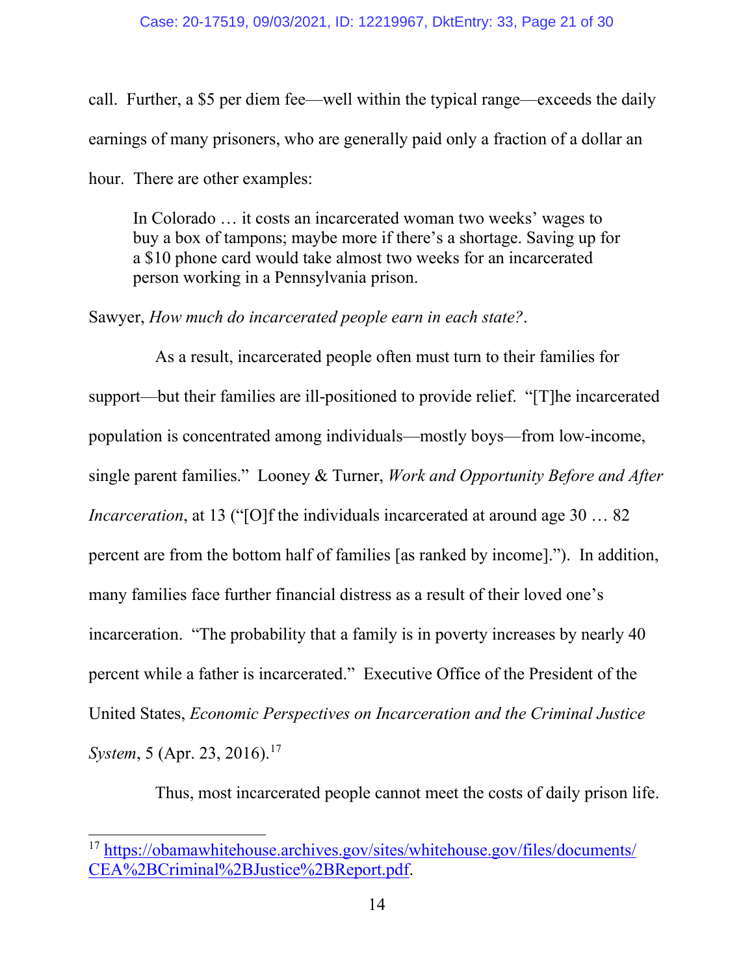call. Further, a \$5 per diem fee—well within the typical range—exceeds the daily earnings of many prisoners, who are generally paid only a fraction of a dollar an hour. There are other examples:

In Colorado … it costs an incarcerated woman two weeks' wages to buy a box of tampons; maybe more if there's a shortage. Saving up for a \$10 phone card would take almost two weeks for an incarcerated person working in a Pennsylvania prison.

Sawyer, *How much do incarcerated people earn in each state?*.

As a result, incarcerated people often must turn to their families for support—but their families are ill-positioned to provide relief. "[T]he incarcerated population is concentrated among individuals—mostly boys—from low-income, single parent families." Looney & Turner, *Work and Opportunity Before and After Incarceration*, at 13 ("[O]f the individuals incarcerated at around age 30 ... 82 percent are from the bottom half of families [as ranked by income]."). In addition, many families face further financial distress as a result of their loved one's incarceration. "The probability that a family is in poverty increases by nearly 40 percent while a father is incarcerated." Executive Office of the President of the United States, *Economic Perspectives on Incarceration and the Criminal Justice System*, 5 (Apr. 23, 2016).<sup>17</sup>

Thus, most incarcerated people cannot meet the costs of daily prison life.

<span id="page-20-0"></span><sup>17</sup> [https://obamawhitehouse.archives.gov/sites/whitehouse.gov/files/documents/](https://obamawhitehouse.archives.gov/sites/whitehouse.gov/files/documents/CEA%2BCriminal%2BJustice%2BReport.pdf) [CEA%2BCriminal%2BJustice%2BReport.pdf.](https://obamawhitehouse.archives.gov/sites/whitehouse.gov/files/documents/CEA%2BCriminal%2BJustice%2BReport.pdf)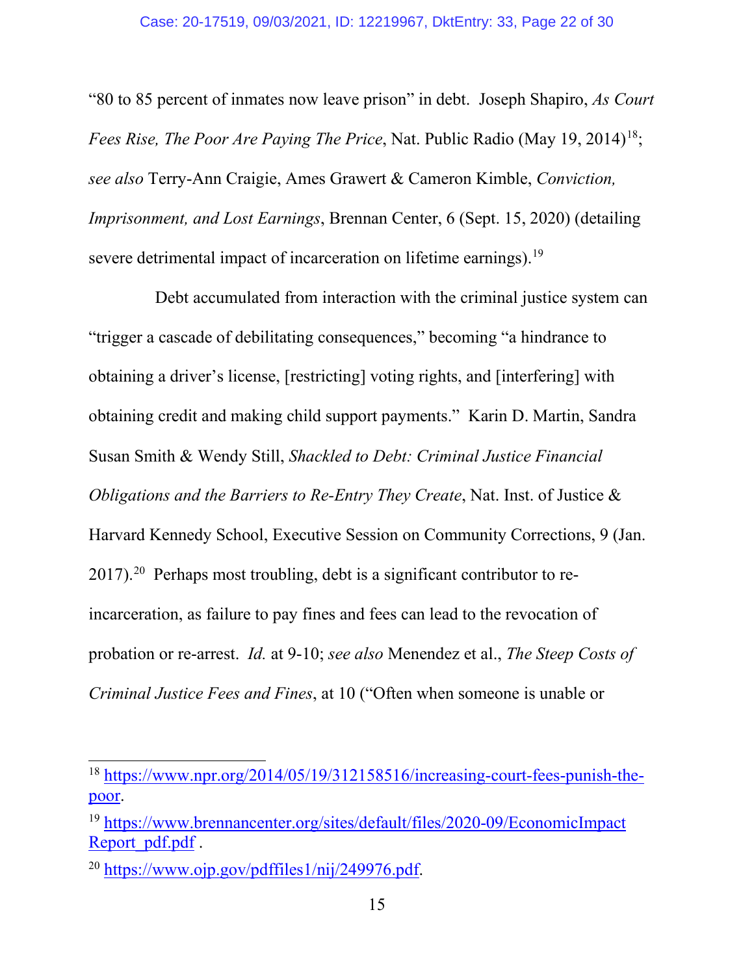"80 to 85 percent of inmates now leave prison" in debt. Joseph Shapiro, *As Court Fees Rise, The Poor Are Paying The Price, Nat. Public Radio (May 19, 2014)<sup>[18](#page-21-0)</sup>; see also* Terry-Ann Craigie, Ames Grawert & Cameron Kimble, *Conviction, Imprisonment, and Lost Earnings*, Brennan Center, 6 (Sept. 15, 2020) (detailing severe detrimental impact of incarceration on lifetime earnings).<sup>19</sup>

Debt accumulated from interaction with the criminal justice system can "trigger a cascade of debilitating consequences," becoming "a hindrance to obtaining a driver's license, [restricting] voting rights, and [interfering] with obtaining credit and making child support payments." Karin D. Martin, Sandra Susan Smith & Wendy Still, *Shackled to Debt: Criminal Justice Financial Obligations and the Barriers to Re-Entry They Create*, Nat. Inst. of Justice & Harvard Kennedy School, Executive Session on Community Corrections, 9 (Jan. 2017).[20](#page-21-2) Perhaps most troubling, debt is a significant contributor to reincarceration, as failure to pay fines and fees can lead to the revocation of probation or re-arrest. *Id.* at 9-10; *see also* Menendez et al., *The Steep Costs of Criminal Justice Fees and Fines*, at 10 ("Often when someone is unable or

<span id="page-21-0"></span><sup>18</sup> [https://www.npr.org/2014/05/19/312158516/increasing-court-fees-punish-the](https://www.npr.org/2014/05/19/312158516/increasing-court-fees-punish-the-poor)[poor.](https://www.npr.org/2014/05/19/312158516/increasing-court-fees-punish-the-poor)

<span id="page-21-1"></span><sup>19</sup> [https://www.brennancenter.org/sites/default/files/2020-09/EconomicImpact](https://www.brennancenter.org/sites/default/files/2020-09/EconomicImpactReport_pdf.pdf) Report pdf.pdf.

<span id="page-21-2"></span><sup>20</sup> [https://www.ojp.gov/pdffiles1/nij/249976.pdf.](https://www.ojp.gov/pdffiles1/nij/249976.pdf)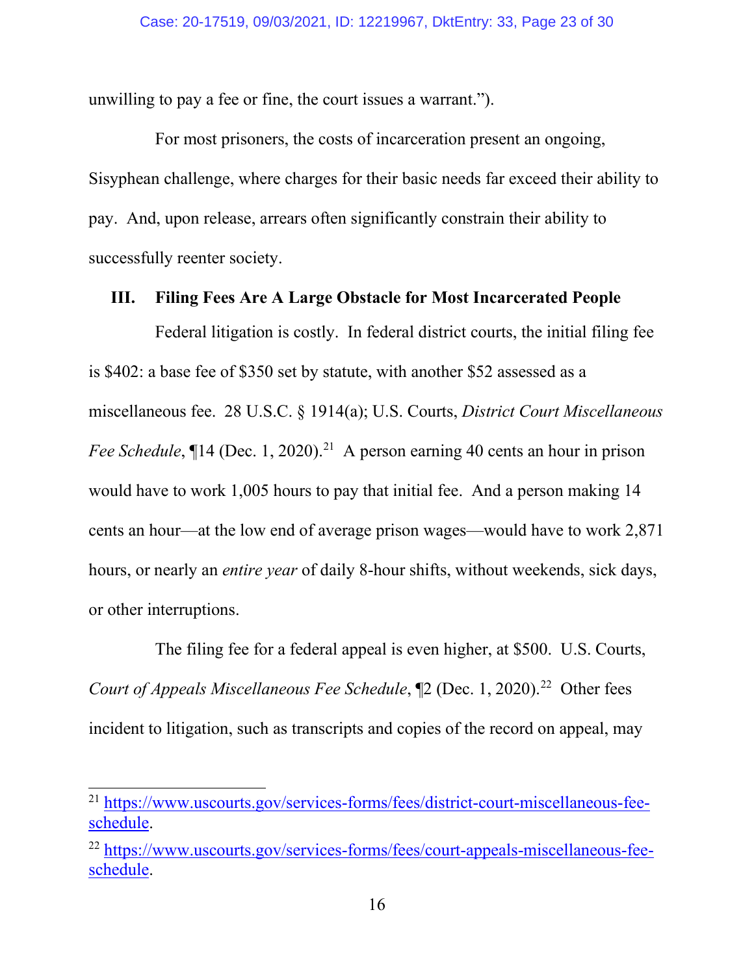unwilling to pay a fee or fine, the court issues a warrant.").

For most prisoners, the costs of incarceration present an ongoing, Sisyphean challenge, where charges for their basic needs far exceed their ability to pay. And, upon release, arrears often significantly constrain their ability to successfully reenter society.

#### <span id="page-22-0"></span>**III. Filing Fees Are A Large Obstacle for Most Incarcerated People**

Federal litigation is costly. In federal district courts, the initial filing fee is \$402: a base fee of \$350 set by statute, with another \$52 assessed as a miscellaneous fee. 28 U.S.C. § 1914(a); U.S. Courts, *District Court Miscellaneous Fee Schedule*,  $\P$ 14 (Dec. 1, 2020).<sup>21</sup> A person earning 40 cents an hour in prison would have to work 1,005 hours to pay that initial fee. And a person making 14 cents an hour—at the low end of average prison wages—would have to work 2,871 hours, or nearly an *entire year* of daily 8-hour shifts, without weekends, sick days, or other interruptions.

The filing fee for a federal appeal is even higher, at \$500. U.S. Courts, *Court of Appeals Miscellaneous Fee Schedule*,  $[2 (Dec. 1, 2020).^{22}$  $[2 (Dec. 1, 2020).^{22}$  $[2 (Dec. 1, 2020).^{22}$  Other fees incident to litigation, such as transcripts and copies of the record on appeal, may

<span id="page-22-2"></span><sup>21</sup> [https://www.uscourts.gov/services-forms/fees/district-court-miscellaneous-fee](https://www.uscourts.gov/services-forms/fees/district-court-miscellaneous-fee-schedule)[schedule.](https://www.uscourts.gov/services-forms/fees/district-court-miscellaneous-fee-schedule)

<span id="page-22-3"></span><span id="page-22-1"></span><sup>22</sup> [https://www.uscourts.gov/services-forms/fees/court-appeals-miscellaneous-fee](https://www.uscourts.gov/services-forms/fees/court-appeals-miscellaneous-fee-schedule)[schedule.](https://www.uscourts.gov/services-forms/fees/court-appeals-miscellaneous-fee-schedule)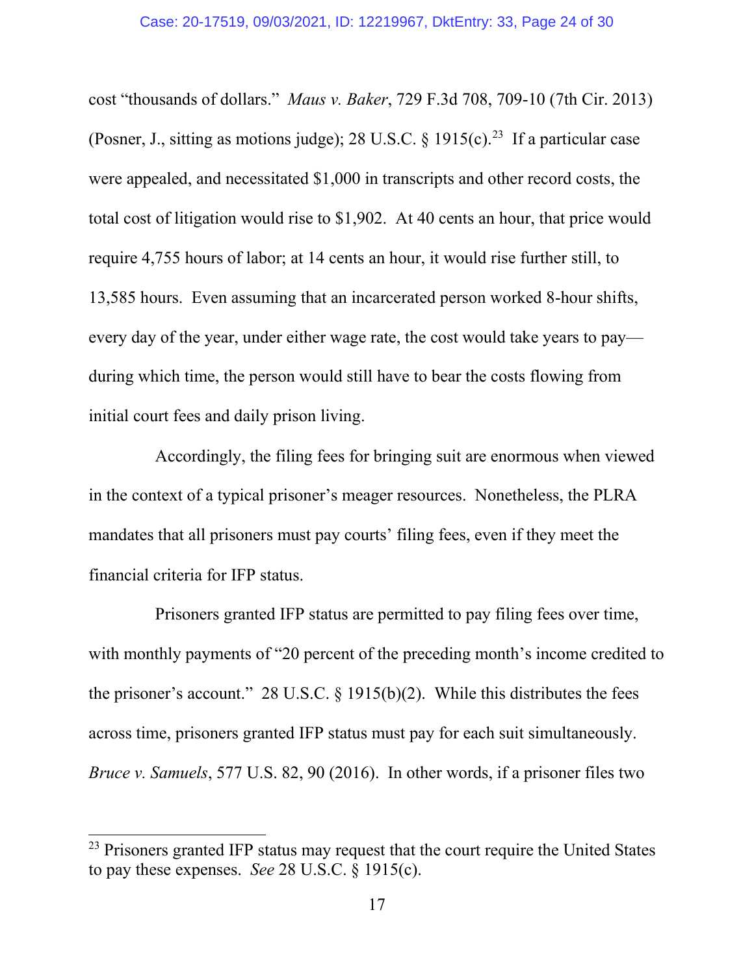cost "thousands of dollars." *Maus v. Baker*, 729 F.3d 708, 709-10 (7th Cir. 2013) (Posner, J., sitting as motions judge); 28 U.S.C.  $\frac{1915(c)}{23}$  $\frac{1915(c)}{23}$  $\frac{1915(c)}{23}$  If a particular case were appealed, and necessitated \$1,000 in transcripts and other record costs, the total cost of litigation would rise to \$1,902. At 40 cents an hour, that price would require 4,755 hours of labor; at 14 cents an hour, it would rise further still, to 13,585 hours. Even assuming that an incarcerated person worked 8-hour shifts, every day of the year, under either wage rate, the cost would take years to pay during which time, the person would still have to bear the costs flowing from initial court fees and daily prison living.

Accordingly, the filing fees for bringing suit are enormous when viewed in the context of a typical prisoner's meager resources. Nonetheless, the PLRA mandates that all prisoners must pay courts' filing fees, even if they meet the financial criteria for IFP status.

Prisoners granted IFP status are permitted to pay filing fees over time, with monthly payments of "20 percent of the preceding month's income credited to the prisoner's account." 28 U.S.C.  $\S$  1915(b)(2). While this distributes the fees across time, prisoners granted IFP status must pay for each suit simultaneously. *Bruce v. Samuels*, 577 U.S. 82, 90 (2016). In other words, if a prisoner files two

<span id="page-23-0"></span><sup>&</sup>lt;sup>23</sup> Prisoners granted IFP status may request that the court require the United States to pay these expenses. *See* 28 U.S.C. § 1915(c).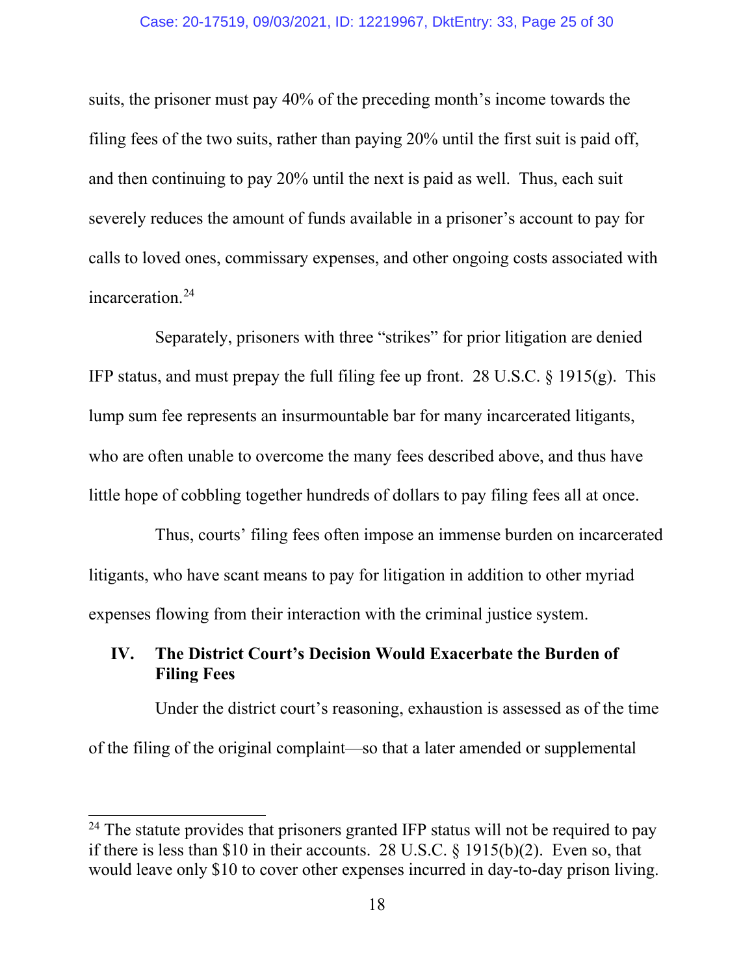#### Case: 20-17519, 09/03/2021, ID: 12219967, DktEntry: 33, Page 25 of 30

suits, the prisoner must pay 40% of the preceding month's income towards the filing fees of the two suits, rather than paying 20% until the first suit is paid off, and then continuing to pay 20% until the next is paid as well. Thus, each suit severely reduces the amount of funds available in a prisoner's account to pay for calls to loved ones, commissary expenses, and other ongoing costs associated with incarceration.<sup>[24](#page-24-1)</sup>

Separately, prisoners with three "strikes" for prior litigation are denied IFP status, and must prepay the full filing fee up front. 28 U.S.C. § 1915(g). This lump sum fee represents an insurmountable bar for many incarcerated litigants, who are often unable to overcome the many fees described above, and thus have little hope of cobbling together hundreds of dollars to pay filing fees all at once.

Thus, courts' filing fees often impose an immense burden on incarcerated litigants, who have scant means to pay for litigation in addition to other myriad expenses flowing from their interaction with the criminal justice system.

## <span id="page-24-0"></span>**IV. The District Court's Decision Would Exacerbate the Burden of Filing Fees**

Under the district court's reasoning, exhaustion is assessed as of the time of the filing of the original complaint—so that a later amended or supplemental

<span id="page-24-1"></span> $24$  The statute provides that prisoners granted IFP status will not be required to pay if there is less than \$10 in their accounts. 28 U.S.C. § 1915(b)(2). Even so, that would leave only \$10 to cover other expenses incurred in day-to-day prison living.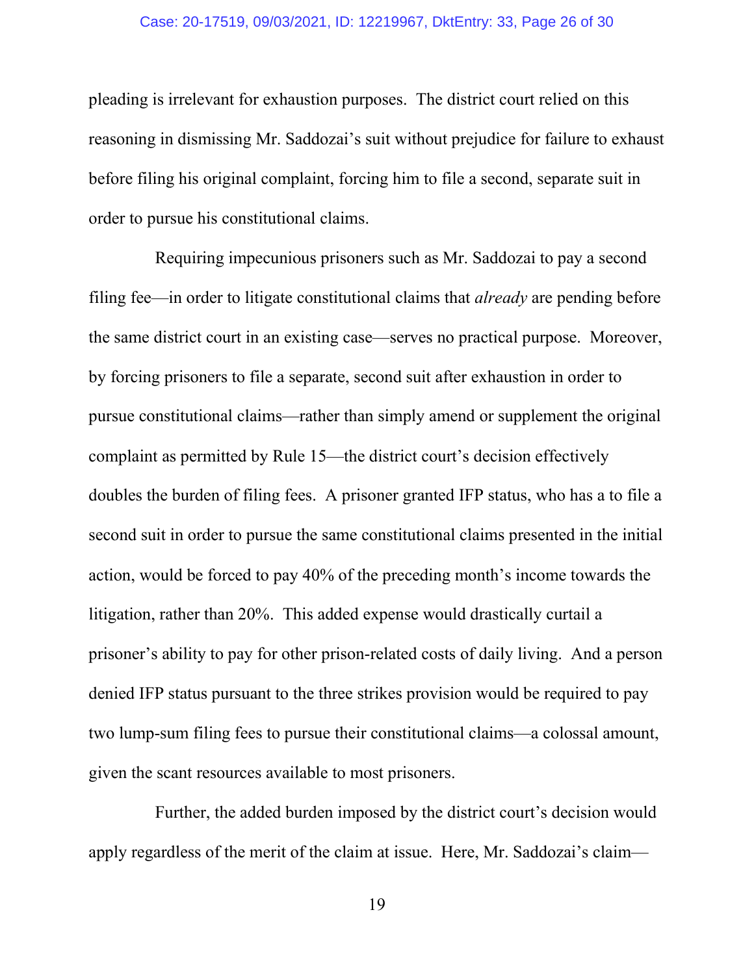#### Case: 20-17519, 09/03/2021, ID: 12219967, DktEntry: 33, Page 26 of 30

pleading is irrelevant for exhaustion purposes. The district court relied on this reasoning in dismissing Mr. Saddozai's suit without prejudice for failure to exhaust before filing his original complaint, forcing him to file a second, separate suit in order to pursue his constitutional claims.

Requiring impecunious prisoners such as Mr. Saddozai to pay a second filing fee—in order to litigate constitutional claims that *already* are pending before the same district court in an existing case—serves no practical purpose. Moreover, by forcing prisoners to file a separate, second suit after exhaustion in order to pursue constitutional claims—rather than simply amend or supplement the original complaint as permitted by Rule 15—the district court's decision effectively doubles the burden of filing fees. A prisoner granted IFP status, who has a to file a second suit in order to pursue the same constitutional claims presented in the initial action, would be forced to pay 40% of the preceding month's income towards the litigation, rather than 20%. This added expense would drastically curtail a prisoner's ability to pay for other prison-related costs of daily living. And a person denied IFP status pursuant to the three strikes provision would be required to pay two lump-sum filing fees to pursue their constitutional claims—a colossal amount, given the scant resources available to most prisoners.

Further, the added burden imposed by the district court's decision would apply regardless of the merit of the claim at issue. Here, Mr. Saddozai's claim—

19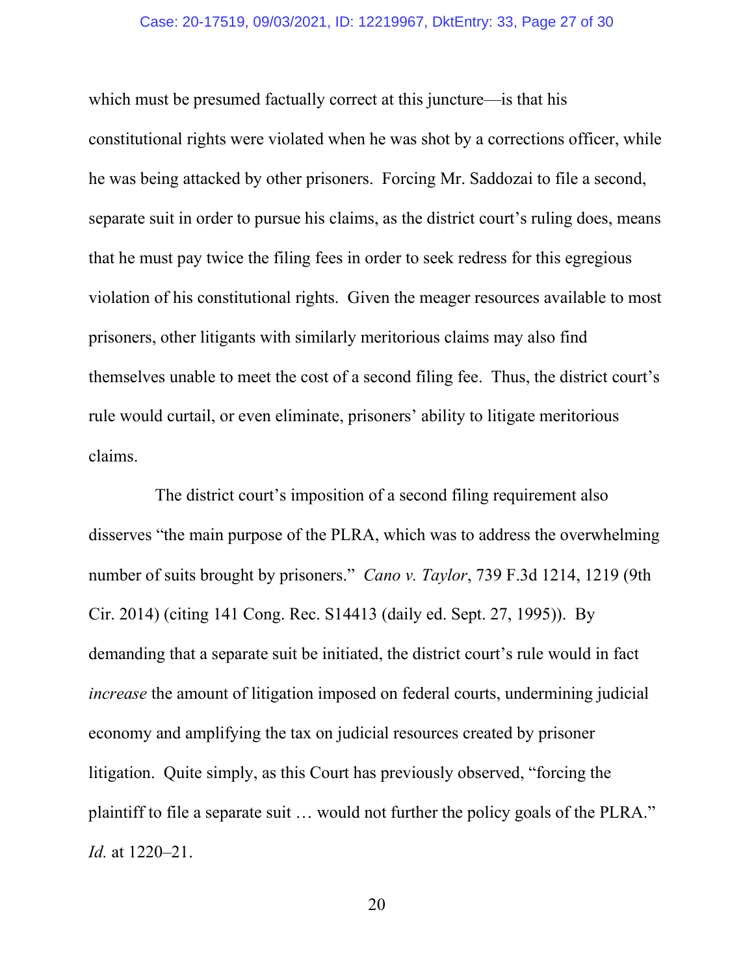#### Case: 20-17519, 09/03/2021, ID: 12219967, DktEntry: 33, Page 27 of 30

which must be presumed factually correct at this juncture—is that his constitutional rights were violated when he was shot by a corrections officer, while he was being attacked by other prisoners. Forcing Mr. Saddozai to file a second, separate suit in order to pursue his claims, as the district court's ruling does, means that he must pay twice the filing fees in order to seek redress for this egregious violation of his constitutional rights. Given the meager resources available to most prisoners, other litigants with similarly meritorious claims may also find themselves unable to meet the cost of a second filing fee. Thus, the district court's rule would curtail, or even eliminate, prisoners' ability to litigate meritorious claims.

<span id="page-26-0"></span>The district court's imposition of a second filing requirement also disserves "the main purpose of the PLRA, which was to address the overwhelming number of suits brought by prisoners." *Cano v. Taylor*, 739 F.3d 1214, 1219 (9th Cir. 2014) (citing 141 Cong. Rec. S14413 (daily ed. Sept. 27, 1995)). By demanding that a separate suit be initiated, the district court's rule would in fact *increase* the amount of litigation imposed on federal courts, undermining judicial economy and amplifying the tax on judicial resources created by prisoner litigation. Quite simply, as this Court has previously observed, "forcing the plaintiff to file a separate suit … would not further the policy goals of the PLRA." *Id.* at 1220–21.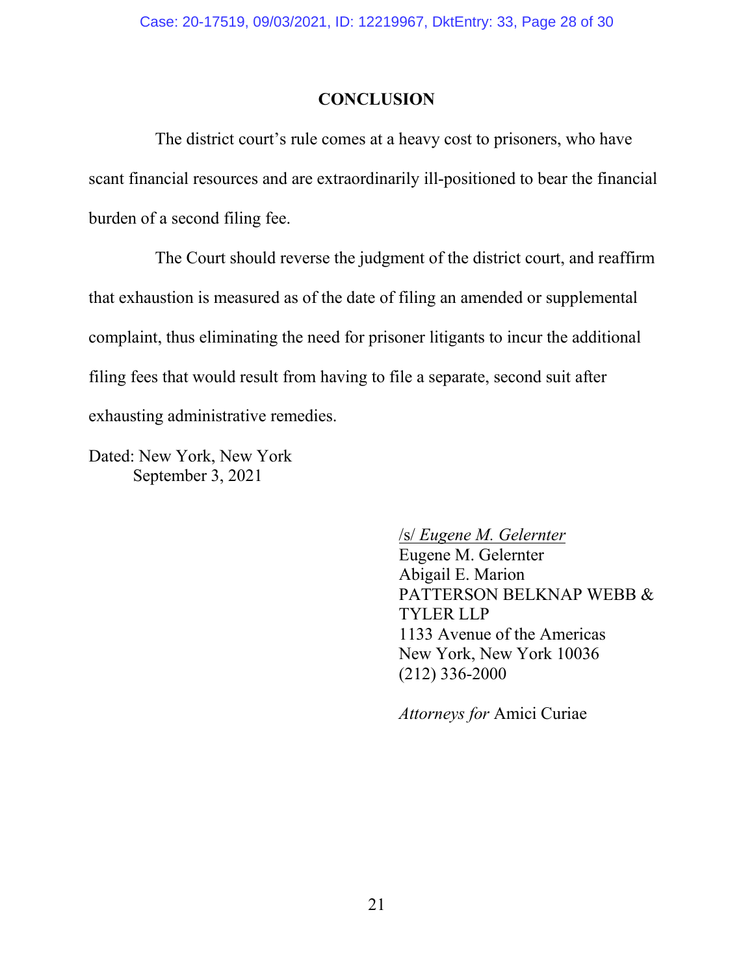### **CONCLUSION**

<span id="page-27-0"></span>The district court's rule comes at a heavy cost to prisoners, who have scant financial resources and are extraordinarily ill-positioned to bear the financial burden of a second filing fee.

The Court should reverse the judgment of the district court, and reaffirm that exhaustion is measured as of the date of filing an amended or supplemental complaint, thus eliminating the need for prisoner litigants to incur the additional filing fees that would result from having to file a separate, second suit after exhausting administrative remedies.

Dated: New York, New York September 3, 2021

/s/ *Eugene M. Gelernter*

Eugene M. Gelernter Abigail E. Marion PATTERSON BELKNAP WEBB & TYLER LLP 1133 Avenue of the Americas New York, New York 10036 (212) 336-2000

*Attorneys for* Amici Curiae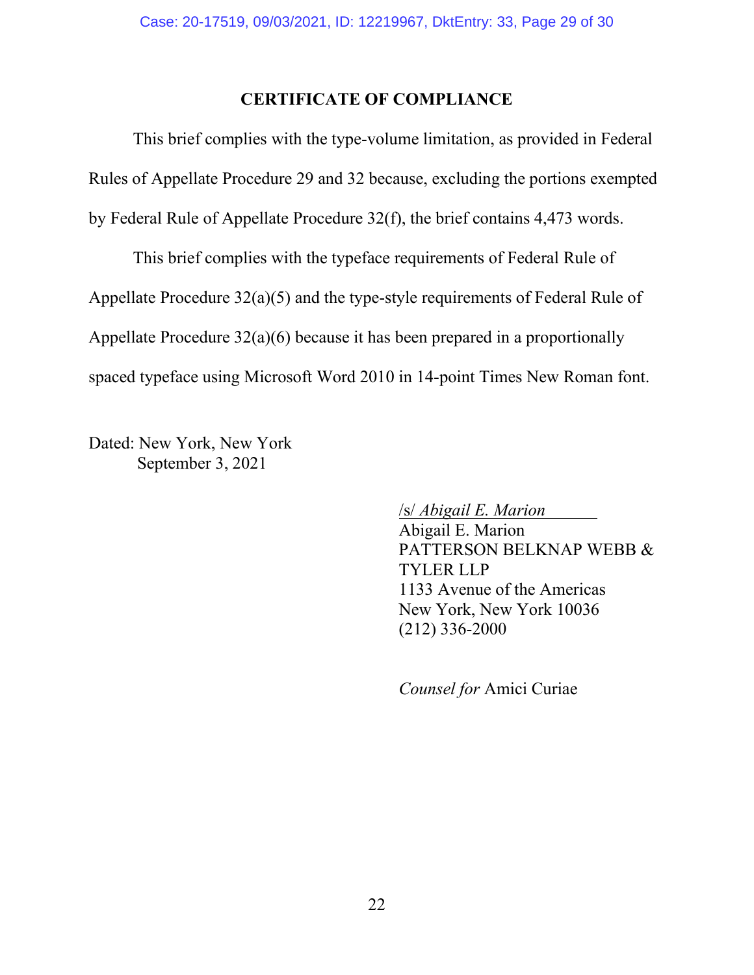#### **CERTIFICATE OF COMPLIANCE**

<span id="page-28-0"></span>This brief complies with the type-volume limitation, as provided in Federal Rules of Appellate Procedure 29 and 32 because, excluding the portions exempted by Federal Rule of Appellate Procedure 32(f), the brief contains 4,473 words.

This brief complies with the typeface requirements of Federal Rule of Appellate Procedure 32(a)(5) and the type-style requirements of Federal Rule of Appellate Procedure 32(a)(6) because it has been prepared in a proportionally spaced typeface using Microsoft Word 2010 in 14-point Times New Roman font.

Dated: New York, New York September 3, 2021

/s/ *Abigail E. Marion* .

Abigail E. Marion PATTERSON BELKNAP WEBB & TYLER LLP 1133 Avenue of the Americas New York, New York 10036 (212) 336-2000

*Counsel for* Amici Curiae